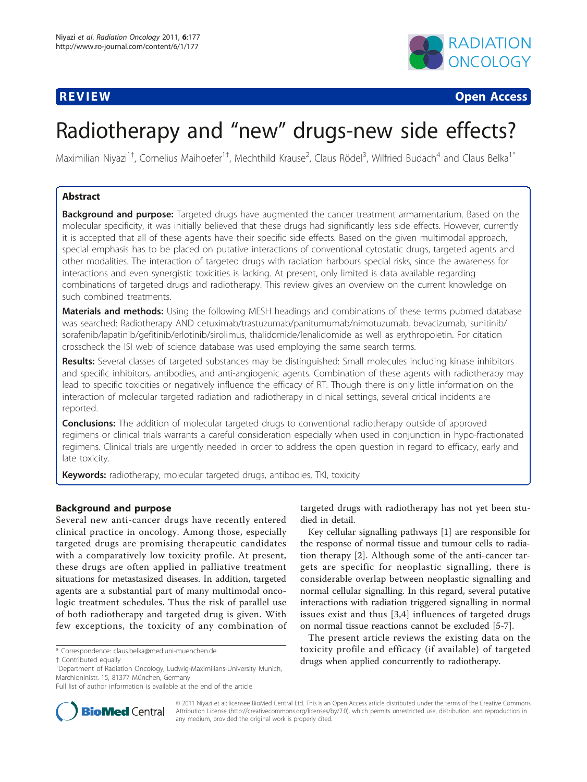

**REVIEW CONSTRUCTION CONSTRUCTION CONSTRUCTS** 

# Radiotherapy and "new" drugs-new side effects?

Maximilian Niyazi<sup>1†</sup>, Cornelius Maihoefer<sup>1†</sup>, Mechthild Krause<sup>2</sup>, Claus Rödel<sup>3</sup>, Wilfried Budach<sup>4</sup> and Claus Belka<sup>1\*</sup>

# Abstract

**Background and purpose:** Targeted drugs have augmented the cancer treatment armamentarium. Based on the molecular specificity, it was initially believed that these drugs had significantly less side effects. However, currently it is accepted that all of these agents have their specific side effects. Based on the given multimodal approach, special emphasis has to be placed on putative interactions of conventional cytostatic drugs, targeted agents and other modalities. The interaction of targeted drugs with radiation harbours special risks, since the awareness for interactions and even synergistic toxicities is lacking. At present, only limited is data available regarding combinations of targeted drugs and radiotherapy. This review gives an overview on the current knowledge on such combined treatments.

Materials and methods: Using the following MESH headings and combinations of these terms pubmed database was searched: Radiotherapy AND cetuximab/trastuzumab/panitumumab/nimotuzumab, bevacizumab, sunitinib/ sorafenib/lapatinib/gefitinib/erlotinib/sirolimus, thalidomide/lenalidomide as well as erythropoietin. For citation crosscheck the ISI web of science database was used employing the same search terms.

Results: Several classes of targeted substances may be distinguished: Small molecules including kinase inhibitors and specific inhibitors, antibodies, and anti-angiogenic agents. Combination of these agents with radiotherapy may lead to specific toxicities or negatively influence the efficacy of RT. Though there is only little information on the interaction of molecular targeted radiation and radiotherapy in clinical settings, several critical incidents are reported.

**Conclusions:** The addition of molecular targeted drugs to conventional radiotherapy outside of approved regimens or clinical trials warrants a careful consideration especially when used in conjunction in hypo-fractionated regimens. Clinical trials are urgently needed in order to address the open question in regard to efficacy, early and late toxicity.

Keywords: radiotherapy, molecular targeted drugs, antibodies, TKI, toxicity

# Background and purpose

Several new anti-cancer drugs have recently entered clinical practice in oncology. Among those, especially targeted drugs are promising therapeutic candidates with a comparatively low toxicity profile. At present, these drugs are often applied in palliative treatment situations for metastasized diseases. In addition, targeted agents are a substantial part of many multimodal oncologic treatment schedules. Thus the risk of parallel use of both radiotherapy and targeted drug is given. With few exceptions, the toxicity of any combination of

targeted drugs with radiotherapy has not yet been studied in detail.

Key cellular signalling pathways [\[1](#page-12-0)] are responsible for the response of normal tissue and tumour cells to radiation therapy [[2\]](#page-12-0). Although some of the anti-cancer targets are specific for neoplastic signalling, there is considerable overlap between neoplastic signalling and normal cellular signalling. In this regard, several putative interactions with radiation triggered signalling in normal issues exist and thus [[3,4](#page-12-0)] influences of targeted drugs on normal tissue reactions cannot be excluded [\[5](#page-12-0)-[7\]](#page-12-0).

The present article reviews the existing data on the toxicity profile and efficacy (if available) of targeted drugs when applied concurrently to radiotherapy.



© 2011 Niyazi et al; licensee BioMed Central Ltd. This is an Open Access article distributed under the terms of the Creative Commons Attribution License [\(http://creativecommons.org/licenses/by/2.0](http://creativecommons.org/licenses/by/2.0)), which permits unrestricted use, distribution, and reproduction in any medium, provided the original work is properly cited.

<sup>\*</sup> Correspondence: [claus.belka@med.uni-muenchen.de](mailto:claus.belka@med.uni-muenchen.de)

<sup>†</sup> Contributed equally <sup>1</sup>

Department of Radiation Oncology, Ludwig-Maximilians-University Munich, Marchioninistr. 15, 81377 München, Germany

Full list of author information is available at the end of the article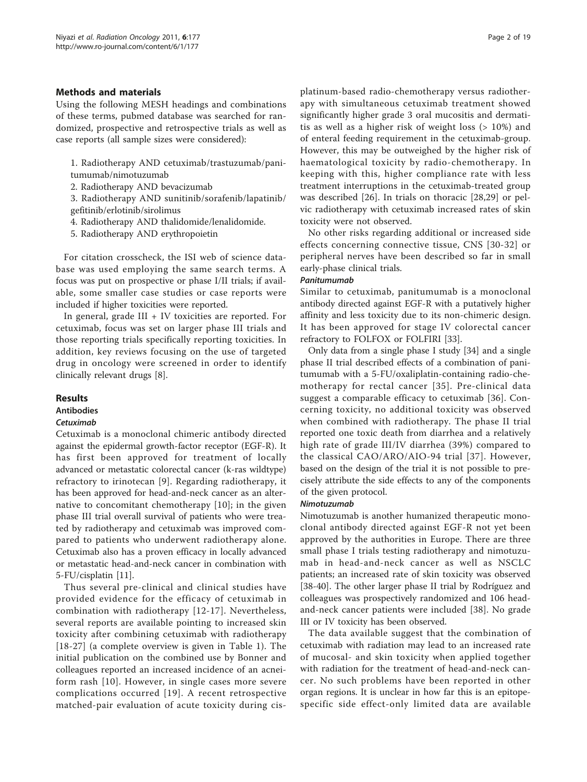# Methods and materials

Using the following MESH headings and combinations of these terms, pubmed database was searched for randomized, prospective and retrospective trials as well as case reports (all sample sizes were considered):

- 1. Radiotherapy AND cetuximab/trastuzumab/panitumumab/nimotuzumab
- 2. Radiotherapy AND bevacizumab
- 3. Radiotherapy AND sunitinib/sorafenib/lapatinib/
- gefitinib/erlotinib/sirolimus
- 4. Radiotherapy AND thalidomide/lenalidomide.
- 5. Radiotherapy AND erythropoietin

For citation crosscheck, the ISI web of science database was used employing the same search terms. A focus was put on prospective or phase I/II trials; if available, some smaller case studies or case reports were included if higher toxicities were reported.

In general, grade III + IV toxicities are reported. For cetuximab, focus was set on larger phase III trials and those reporting trials specifically reporting toxicities. In addition, key reviews focusing on the use of targeted drug in oncology were screened in order to identify clinically relevant drugs [\[8](#page-12-0)].

# Results

# Antibodies

# Cetuximab

Cetuximab is a monoclonal chimeric antibody directed against the epidermal growth-factor receptor (EGF-R). It has first been approved for treatment of locally advanced or metastatic colorectal cancer (k-ras wildtype) refractory to irinotecan [[9](#page-12-0)]. Regarding radiotherapy, it has been approved for head-and-neck cancer as an alternative to concomitant chemotherapy [[10\]](#page-12-0); in the given phase III trial overall survival of patients who were treated by radiotherapy and cetuximab was improved compared to patients who underwent radiotherapy alone. Cetuximab also has a proven efficacy in locally advanced or metastatic head-and-neck cancer in combination with 5-FU/cisplatin [\[11\]](#page-12-0).

Thus several pre-clinical and clinical studies have provided evidence for the efficacy of cetuximab in combination with radiotherapy [[12-17\]](#page-12-0). Nevertheless, several reports are available pointing to increased skin toxicity after combining cetuximab with radiotherapy [[18](#page-12-0)-[27\]](#page-12-0) (a complete overview is given in Table [1\)](#page-2-0). The initial publication on the combined use by Bonner and colleagues reported an increased incidence of an acneiform rash [[10](#page-12-0)]. However, in single cases more severe complications occurred [[19](#page-12-0)]. A recent retrospective matched-pair evaluation of acute toxicity during cisplatinum-based radio-chemotherapy versus radiotherapy with simultaneous cetuximab treatment showed significantly higher grade 3 oral mucositis and dermatitis as well as a higher risk of weight loss (> 10%) and of enteral feeding requirement in the cetuximab-group. However, this may be outweighed by the higher risk of haematological toxicity by radio-chemotherapy. In keeping with this, higher compliance rate with less treatment interruptions in the cetuximab-treated group was described [[26](#page-12-0)]. In trials on thoracic [[28,29](#page-12-0)] or pelvic radiotherapy with cetuximab increased rates of skin toxicity were not observed.

No other risks regarding additional or increased side effects concerning connective tissue, CNS [[30-32](#page-12-0)] or peripheral nerves have been described so far in small early-phase clinical trials.

# Panitumumab

Similar to cetuximab, panitumumab is a monoclonal antibody directed against EGF-R with a putatively higher affinity and less toxicity due to its non-chimeric design. It has been approved for stage IV colorectal cancer refractory to FOLFOX or FOLFIRI [\[33\]](#page-13-0).

Only data from a single phase I study [[34](#page-13-0)] and a single phase II trial described effects of a combination of panitumumab with a 5-FU/oxaliplatin-containing radio-chemotherapy for rectal cancer [[35](#page-13-0)]. Pre-clinical data suggest a comparable efficacy to cetuximab [[36](#page-13-0)]. Concerning toxicity, no additional toxicity was observed when combined with radiotherapy. The phase II trial reported one toxic death from diarrhea and a relatively high rate of grade III/IV diarrhea (39%) compared to the classical CAO/ARO/AIO-94 trial [[37\]](#page-13-0). However, based on the design of the trial it is not possible to precisely attribute the side effects to any of the components of the given protocol.

# Nimotuzumab

Nimotuzumab is another humanized therapeutic monoclonal antibody directed against EGF-R not yet been approved by the authorities in Europe. There are three small phase I trials testing radiotherapy and nimotuzumab in head-and-neck cancer as well as NSCLC patients; an increased rate of skin toxicity was observed [[38-40\]](#page-13-0). The other larger phase II trial by Rodríguez and colleagues was prospectively randomized and 106 headand-neck cancer patients were included [\[38](#page-13-0)]. No grade III or IV toxicity has been observed.

The data available suggest that the combination of cetuximab with radiation may lead to an increased rate of mucosal- and skin toxicity when applied together with radiation for the treatment of head-and-neck cancer. No such problems have been reported in other organ regions. It is unclear in how far this is an epitopespecific side effect-only limited data are available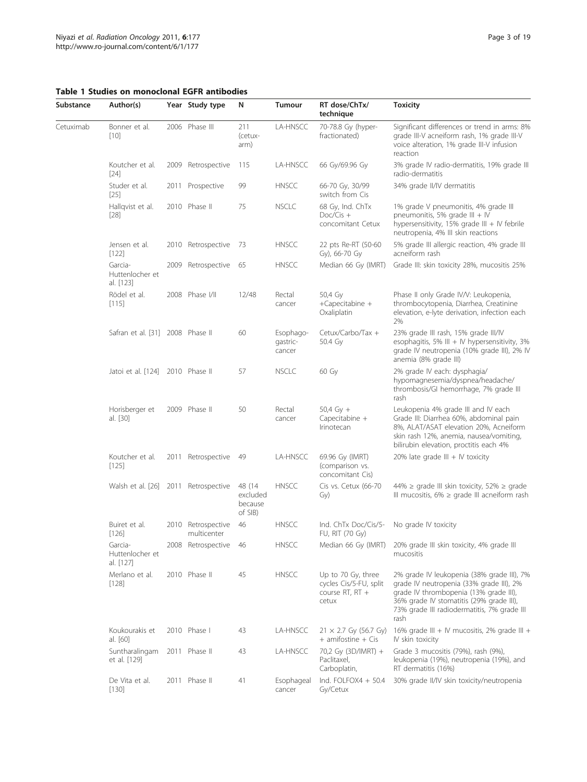<span id="page-2-0"></span>

| Table 1 Studies on monoclonal EGFR antibodies |  |  |  |
|-----------------------------------------------|--|--|--|
|-----------------------------------------------|--|--|--|

| <b>Substance</b> | Author(s)                               |      | Year Study type                   | N                                        | Tumour                          | RT dose/ChTx/<br>technique                                                 | <b>Toxicity</b>                                                                                                                                                                                                                     |
|------------------|-----------------------------------------|------|-----------------------------------|------------------------------------------|---------------------------------|----------------------------------------------------------------------------|-------------------------------------------------------------------------------------------------------------------------------------------------------------------------------------------------------------------------------------|
| Cetuximab        | Bonner et al.<br>$[10]$                 |      | 2006 Phase III                    | 211<br>(cetux-<br>arm)                   | LA-HNSCC                        | 70-78.8 Gy (hyper-<br>fractionated)                                        | Significant differences or trend in arms: 8%<br>grade III-V acneiform rash, 1% grade III-V<br>voice alteration, 1% grade III-V infusion<br>reaction                                                                                 |
|                  | Koutcher et al.<br>$[24]$               |      | 2009 Retrospective                | 115                                      | LA-HNSCC                        | 66 Gy/69.96 Gy                                                             | 3% grade IV radio-dermatitis, 19% grade III<br>radio-dermatitis                                                                                                                                                                     |
|                  | Studer et al.<br>$[25]$                 | 2011 | Prospective                       | 99                                       | <b>HNSCC</b>                    | 66-70 Gy, 30/99<br>switch from Cis                                         | 34% grade II/IV dermatitis                                                                                                                                                                                                          |
|                  | Hallqvist et al.<br>$[28]$              |      | 2010 Phase II                     | 75                                       | <b>NSCLC</b>                    | 68 Gy, Ind. ChTx<br>$Doc/Cis +$<br>concomitant Cetux                       | 1% grade V pneumonitis, 4% grade III<br>pneumonitis, 5% grade III + IV<br>hypersensitivity, 15% grade $III + IV$ febrile<br>neutropenia, 4% III skin reactions                                                                      |
|                  | Jensen et al.<br>[122]                  |      | 2010 Retrospective                | -73                                      | <b>HNSCC</b>                    | 22 pts Re-RT (50-60<br>Gy), 66-70 Gy                                       | 5% grade III allergic reaction, 4% grade III<br>acneiform rash                                                                                                                                                                      |
|                  | Garcia-<br>Huttenlocher et<br>al. [123] |      | 2009 Retrospective                | 65                                       | <b>HNSCC</b>                    | Median 66 Gy (IMRT)                                                        | Grade III: skin toxicity 28%, mucositis 25%                                                                                                                                                                                         |
|                  | Rödel et al.<br>[115]                   |      | 2008 Phase I/II                   | 12/48                                    | Rectal<br>cancer                | 50,4 Gy<br>+Capecitabine +<br>Oxaliplatin                                  | Phase II only Grade IV/V: Leukopenia,<br>thrombocytopenia, Diarrhea, Creatinine<br>elevation, e-lyte derivation, infection each<br>2%                                                                                               |
|                  | Safran et al. [31] 2008 Phase II        |      |                                   | 60                                       | Esophago-<br>gastric-<br>cancer | Cetux/Carbo/Tax +<br>50.4 Gy                                               | 23% grade III rash, 15% grade III/IV<br>esophagitis, 5% III + IV hypersensitivity, 3%<br>grade IV neutropenia (10% grade III), 2% IV<br>anemia (8% grade III)                                                                       |
|                  | Jatoi et al. [124] 2010 Phase II        |      |                                   | 57                                       | <b>NSCLC</b>                    | 60 Gy                                                                      | 2% grade IV each: dysphagia/<br>hypomagnesemia/dyspnea/headache/<br>thrombosis/GI hemorrhage, 7% grade III<br>rash                                                                                                                  |
|                  | Horisberger et<br>al. [30]              |      | 2009 Phase II                     | 50                                       | Rectal<br>cancer                | $50,4$ Gy +<br>Capecitabine +<br>Irinotecan                                | Leukopenia 4% grade III and IV each<br>Grade III: Diarrhea 60%, abdominal pain<br>8%, ALAT/ASAT elevation 20%, Acneiform<br>skin rash 12%, anemia, nausea/vomiting,<br>bilirubin elevation, proctitis each 4%                       |
|                  | Koutcher et al.<br>$[125]$              |      | 2011 Retrospective                | 49                                       | LA-HNSCC                        | 69.96 Gy (IMRT)<br>(comparison vs.<br>concomitant Cis)                     | 20% late grade $III + IV$ toxicity                                                                                                                                                                                                  |
|                  | Walsh et al. [26] 2011 Retrospective    |      |                                   | 48 (14<br>excluded<br>because<br>of SIB) | <b>HNSCC</b>                    | Cis vs. Cetux (66-70<br>Gy)                                                | $44\% \ge$ grade III skin toxicity, 52% $\ge$ grade<br>III mucositis, $6\% \geq$ grade III acneiform rash                                                                                                                           |
|                  | Buiret et al.<br>[126]                  |      | 2010 Retrospective<br>multicenter | 46                                       | <b>HNSCC</b>                    | Ind. ChTx Doc/Cis/5-<br>FU, RIT (70 Gy)                                    | No grade IV toxicity                                                                                                                                                                                                                |
|                  | Garcia-<br>Huttenlocher et<br>al. [127] |      | 2008 Retrospective                | -46                                      | HNSCC                           | Median 66 Gy (IMRT)                                                        | 20% grade III skin toxicity, 4% grade III<br>mucositis                                                                                                                                                                              |
|                  | Merlano et al.<br>$[128]$               |      | 2010 Phase II                     | 45                                       | <b>HNSCC</b>                    | Up to 70 Gy, three<br>cycles Cis/5-FU, split<br>course RT, $RT +$<br>cetux | 2% grade IV leukopenia (38% grade III), 7%<br>grade IV neutropenia (33% grade III), 2%<br>grade IV thrombopenia (13% grade III),<br>36% grade IV stomatitis (29% grade III),<br>73% grade III radiodermatitis, 7% grade III<br>rash |
|                  | Koukourakis et<br>al. [60]              |      | 2010 Phase I                      | 43                                       | LA-HNSCC                        | $21 \times 2.7$ Gy (56.7 Gy)<br>$+$ amifostine $+$ Cis                     | 16% grade III + IV mucositis, 2% grade III +<br>IV skin toxicity                                                                                                                                                                    |
|                  | Suntharalingam<br>et al. [129]          |      | 2011 Phase II                     | 43                                       | LA-HNSCC                        | 70,2 Gy (3D/IMRT) +<br>Paclitaxel,<br>Carboplatin,                         | Grade 3 mucositis (79%), rash (9%),<br>leukopenia (19%), neutropenia (19%), and<br>RT dermatitis (16%)                                                                                                                              |
|                  | De Vita et al.<br>[130]                 |      | 2011 Phase II                     | 41                                       | Esophageal<br>cancer            | Ind. FOLFOX4 $+$ 50.4<br>Gy/Cetux                                          | 30% grade II/IV skin toxicity/neutropenia                                                                                                                                                                                           |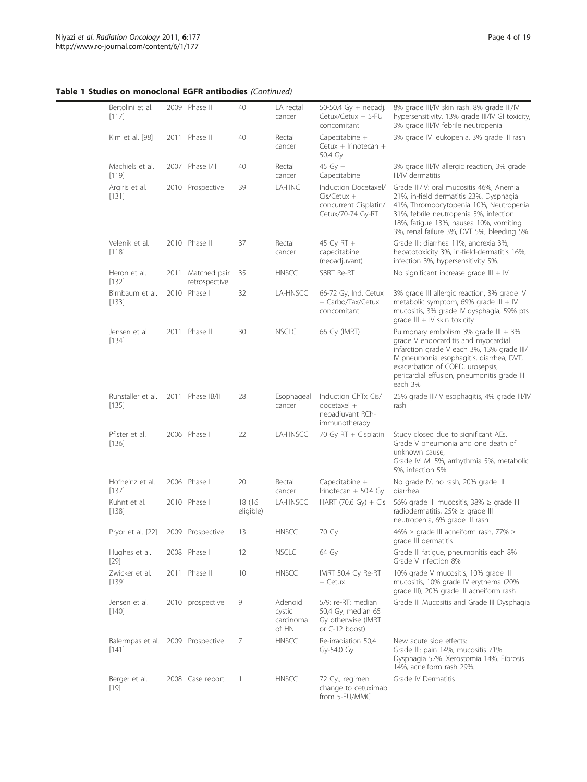| Bertolini et al.<br>[117]                  | 2009 Phase II                      | 40                   | LA rectal<br>cancer                     | 50-50.4 Gy + neoadj.<br>Cetux/Cetux + 5-FU<br>concomitant                           | 8% grade III/IV skin rash, 8% grade III/IV<br>hypersensitivity, 13% grade III/IV GI toxicity,<br>3% grade III/IV febrile neutropenia                                                                                                                                |
|--------------------------------------------|------------------------------------|----------------------|-----------------------------------------|-------------------------------------------------------------------------------------|---------------------------------------------------------------------------------------------------------------------------------------------------------------------------------------------------------------------------------------------------------------------|
| Kim et al. [98]                            | 2011 Phase II                      | 40                   | Rectal<br>cancer                        | Capecitabine +<br>Cetux + Irinotecan +<br>50.4 Gy                                   | 3% grade IV leukopenia, 3% grade III rash                                                                                                                                                                                                                           |
| Machiels et al.<br>[119]                   | 2007 Phase I/II                    | 40                   | Rectal<br>cancer                        | $45$ Gy $+$<br>Capecitabine                                                         | 3% grade III/IV allergic reaction, 3% grade<br>III/IV dermatitis                                                                                                                                                                                                    |
| Argiris et al.<br>[131]                    | 2010 Prospective                   | 39                   | LA-HNC                                  | Induction Docetaxel/<br>$Cis/Cetux +$<br>concurrent Cisplatin/<br>Cetux/70-74 Gy-RT | Grade III/IV: oral mucositis 46%, Anemia<br>21%, in-field dermatitis 23%, Dysphagia<br>41%, Thrombocytopenia 10%, Neutropenia<br>31%, febrile neutropenia 5%, infection<br>18%, fatique 13%, nausea 10%, vomiting<br>3%, renal failure 3%, DVT 5%, bleeding 5%.     |
| Velenik et al.<br>[118]                    | 2010 Phase II                      | 37                   | Rectal<br>cancer                        | 45 Gy RT $+$<br>capecitabine<br>(neoadjuvant)                                       | Grade III: diarrhea 11%, anorexia 3%,<br>hepatotoxicity 3%, in-field-dermatitis 16%,<br>infection 3%, hypersensitivity 5%.                                                                                                                                          |
| Heron et al.<br>$[132]$                    | 2011 Matched pair<br>retrospective | 35                   | <b>HNSCC</b>                            | SBRT Re-RT                                                                          | No significant increase grade $III + IV$                                                                                                                                                                                                                            |
| Birnbaum et al.<br>[133]                   | 2010 Phase I                       | 32                   | LA-HNSCC                                | 66-72 Gy, Ind. Cetux<br>+ Carbo/Tax/Cetux<br>concomitant                            | 3% grade III allergic reaction, 3% grade IV<br>metabolic symptom, 69% grade III + IV<br>mucositis, 3% grade IV dysphagia, 59% pts<br>grade $III + IV$ skin toxicity                                                                                                 |
| Jensen et al.<br>[134]                     | 2011 Phase II                      | 30                   | <b>NSCLC</b>                            | 66 Gy (IMRT)                                                                        | Pulmonary embolism 3% grade III + 3%<br>grade V endocarditis and myocardial<br>infarction grade V each 3%, 13% grade III/<br>IV pneumonia esophagitis, diarrhea, DVT,<br>exacerbation of COPD, urosepsis,<br>pericardial effusion, pneumonitis grade III<br>each 3% |
| Ruhstaller et al.<br>[135]                 | 2011 Phase IB/II                   | 28                   | Esophageal<br>cancer                    | Induction ChTx Cis/<br>$docetaxel +$<br>neoadjuvant RCh-<br>immunotherapy           | 25% grade III/IV esophagitis, 4% grade III/IV<br>rash                                                                                                                                                                                                               |
| Pfister et al.<br>[136]                    | 2006 Phase I                       | 22                   | LA-HNSCC                                | 70 Gy RT + Cisplatin                                                                | Study closed due to significant AEs.<br>Grade V pneumonia and one death of<br>unknown cause,<br>Grade IV: MI 5%, arrhythmia 5%, metabolic<br>5%, infection 5%                                                                                                       |
| Hofheinz et al.<br>[137]                   | 2006 Phase I                       | 20                   | Rectal<br>cancer                        | Capecitabine +<br>Irinotecan $+50.4$ Gy                                             | No grade IV, no rash, 20% grade III<br>diarrhea                                                                                                                                                                                                                     |
| Kuhnt et al.<br>[138]                      | 2010 Phase I                       | 18 (16)<br>eligible) | LA-HNSCC                                | HART $(70.6 \text{ Gy}) + \text{Cis}$                                               | 56% grade III mucositis, 38% ≥ grade III<br>radiodermatitis, $25\% \geq$ grade III<br>neutropenia, 6% grade III rash                                                                                                                                                |
| Pryor et al. [22]                          | 2009 Prospective                   | 13                   | <b>HNSCC</b>                            | 70 Gy                                                                               | 46% ≥ grade III acneiform rash, 77% ≥<br>grade III dermatitis                                                                                                                                                                                                       |
| Hughes et al.<br>$[29]$                    | 2008 Phase I                       | 12                   | <b>NSCLC</b>                            | 64 Gy                                                                               | Grade III fatigue, pneumonitis each 8%<br>Grade V Infection 8%                                                                                                                                                                                                      |
| Zwicker et al.<br>[139]                    | 2011 Phase II                      | 10                   | <b>HNSCC</b>                            | IMRT 50.4 Gy Re-RT<br>+ Cetux                                                       | 10% grade V mucositis, 10% grade III<br>mucositis, 10% grade IV erythema (20%<br>grade III), 20% grade III acneiform rash                                                                                                                                           |
| Jensen et al.<br>$[140]$                   | 2010 prospective                   | 9                    | Adenoid<br>cystic<br>carcinoma<br>of HN | 5/9: re-RT: median<br>50,4 Gy, median 65<br>Gy otherwise (IMRT<br>or C-12 boost)    | Grade III Mucositis and Grade III Dysphagia                                                                                                                                                                                                                         |
| Balermpas et al. 2009 Prospective<br>[141] |                                    | 7                    | <b>HNSCC</b>                            | Re-irradiation 50,4<br>Gy-54,0 Gy                                                   | New acute side effects:<br>Grade III: pain 14%, mucositis 71%.<br>Dysphagia 57%. Xerostomia 14%. Fibrosis<br>14%, acneiform rash 29%.                                                                                                                               |
| Berger et al.<br>$[19]$                    | 2008 Case report                   | $\mathbf{1}$         | <b>HNSCC</b>                            | 72 Gy., regimen<br>change to cetuximab<br>from 5-FU/MMC                             | Grade IV Dermatitis                                                                                                                                                                                                                                                 |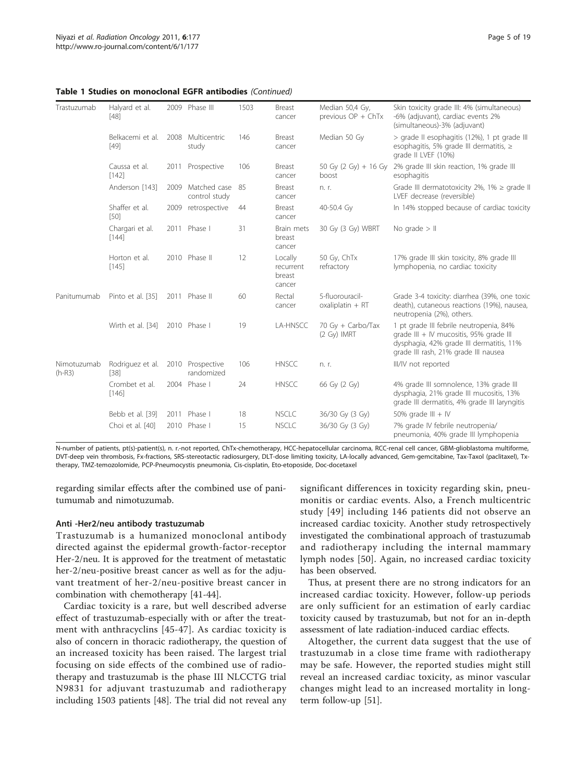| Trastuzumab             | Halyard et al.<br>$[48]$                  |      | 2009 Phase III                | 1503 | Breast<br>cancer                         | Median 50,4 Gy,<br>previous OP + ChTx | Skin toxicity grade III: 4% (simultaneous)<br>-6% (adjuvant), cardiac events 2%<br>(simultaneous)-3% (adjuvant)                                                        |
|-------------------------|-------------------------------------------|------|-------------------------------|------|------------------------------------------|---------------------------------------|------------------------------------------------------------------------------------------------------------------------------------------------------------------------|
|                         | Belkacemi et al.<br>$[49]$                | 2008 | Multicentric<br>study         | 146  | Breast<br>cancer                         | Median 50 Gy                          | > grade II esophagitis (12%), 1 pt grade III<br>esophagitis, 5% grade III dermatitis, ≥<br>grade II LVEF (10%)                                                         |
|                         | Caussa et al.<br>[142]                    |      | 2011 Prospective              | 106  | Breast<br>cancer                         | 50 Gy (2 Gy) + 16 Gy<br>boost         | 2% grade III skin reaction, 1% grade III<br>esophagitis                                                                                                                |
|                         | Anderson [143]                            | 2009 | Matched case<br>control study | 85   | Breast<br>cancer                         | n. r.                                 | Grade III dermatotoxicity 2%, 1% $\geq$ grade II<br>LVEF decrease (reversible)                                                                                         |
|                         | Shaffer et al.<br>$[50]$                  | 2009 | retrospective                 | 44   | Breast<br>cancer                         | 40-50.4 Gy                            | In 14% stopped because of cardiac toxicity                                                                                                                             |
|                         | Chargari et al.<br>$[144]$                |      | 2011 Phase I                  | 31   | Brain mets<br>breast<br>cancer           | 30 Gy (3 Gy) WBRT                     | No grade $>$ II                                                                                                                                                        |
|                         | Horton et al.<br>$[145]$                  |      | 2010 Phase II                 | 12   | Locally<br>recurrent<br>breast<br>cancer | 50 Gy, ChTx<br>refractory             | 17% grade III skin toxicity, 8% grade III<br>lymphopenia, no cardiac toxicity                                                                                          |
| Panitumumab             | Pinto et al. [35]                         |      | 2011 Phase II                 | 60   | Rectal<br>cancer                         | 5-fluorouracil-<br>$oxaliplatin + RT$ | Grade 3-4 toxicity: diarrhea (39%, one toxic<br>death), cutaneous reactions (19%), nausea,<br>neutropenia (2%), others.                                                |
|                         | Wirth et al. [34]                         |      | 2010 Phase I                  | 19   | LA-HNSCC                                 | 70 Gy + Carbo/Tax<br>(2 Gy) IMRT      | 1 pt grade III febrile neutropenia, 84%<br>grade III + IV mucositis, 95% grade III<br>dysphagia, 42% grade III dermatitis, 11%<br>grade III rash, 21% grade III nausea |
| Nimotuzumab<br>$(h-R3)$ | Rodriguez et al. 2010 Prospective<br>[38] |      | randomized                    | 106  | <b>HNSCC</b>                             | n. r.                                 | III/IV not reported                                                                                                                                                    |
|                         | Crombet et al.<br>[146]                   |      | 2004 Phase I                  | 24   | <b>HNSCC</b>                             | 66 Gy (2 Gy)                          | 4% grade III somnolence, 13% grade III<br>dysphagia, 21% grade III mucositis, 13%<br>grade III dermatitis, 4% grade III laryngitis                                     |
|                         | Bebb et al. [39]                          |      | 2011 Phase I                  | 18   | <b>NSCLC</b>                             | 36/30 Gy (3 Gy)                       | 50% grade $III + IV$                                                                                                                                                   |
|                         | Choi et al. [40]                          |      | 2010 Phase I                  | 15   | <b>NSCLC</b>                             | 36/30 Gy (3 Gy)                       | 7% grade IV febrile neutropenia/<br>pneumonia, 40% grade III lymphopenia                                                                                               |

Table 1 Studies on monoclonal EGFR antibodies (Continued)

N-number of patients, pt(s)-patient(s), n. r.-not reported, ChTx-chemotherapy, HCC-hepatocellular carcinoma, RCC-renal cell cancer, GBM-glioblastoma multiforme, DVT-deep vein thrombosis, Fx-fractions, SRS-stereotactic radiosurgery, DLT-dose limiting toxicity, LA-locally advanced, Gem-gemcitabine, Tax-Taxol (paclitaxel), Txtherapy, TMZ-temozolomide, PCP-Pneumocystis pneumonia, Cis-cisplatin, Eto-etoposide, Doc-docetaxel

regarding similar effects after the combined use of panitumumab and nimotuzumab.

#### Anti -Her2/neu antibody trastuzumab

Trastuzumab is a humanized monoclonal antibody directed against the epidermal growth-factor-receptor Her-2/neu. It is approved for the treatment of metastatic her-2/neu-positive breast cancer as well as for the adjuvant treatment of her-2/neu-positive breast cancer in combination with chemotherapy [\[41-44](#page-13-0)].

Cardiac toxicity is a rare, but well described adverse effect of trastuzumab-especially with or after the treatment with anthracyclins [\[45](#page-13-0)-[47](#page-13-0)]. As cardiac toxicity is also of concern in thoracic radiotherapy, the question of an increased toxicity has been raised. The largest trial focusing on side effects of the combined use of radiotherapy and trastuzumab is the phase III NLCCTG trial N9831 for adjuvant trastuzumab and radiotherapy including 1503 patients [\[48\]](#page-13-0). The trial did not reveal any

significant differences in toxicity regarding skin, pneumonitis or cardiac events. Also, a French multicentric study [\[49\]](#page-13-0) including 146 patients did not observe an increased cardiac toxicity. Another study retrospectively investigated the combinational approach of trastuzumab and radiotherapy including the internal mammary lymph nodes [[50](#page-13-0)]. Again, no increased cardiac toxicity has been observed.

Thus, at present there are no strong indicators for an increased cardiac toxicity. However, follow-up periods are only sufficient for an estimation of early cardiac toxicity caused by trastuzumab, but not for an in-depth assessment of late radiation-induced cardiac effects.

Altogether, the current data suggest that the use of trastuzumab in a close time frame with radiotherapy may be safe. However, the reported studies might still reveal an increased cardiac toxicity, as minor vascular changes might lead to an increased mortality in longterm follow-up [[51](#page-13-0)].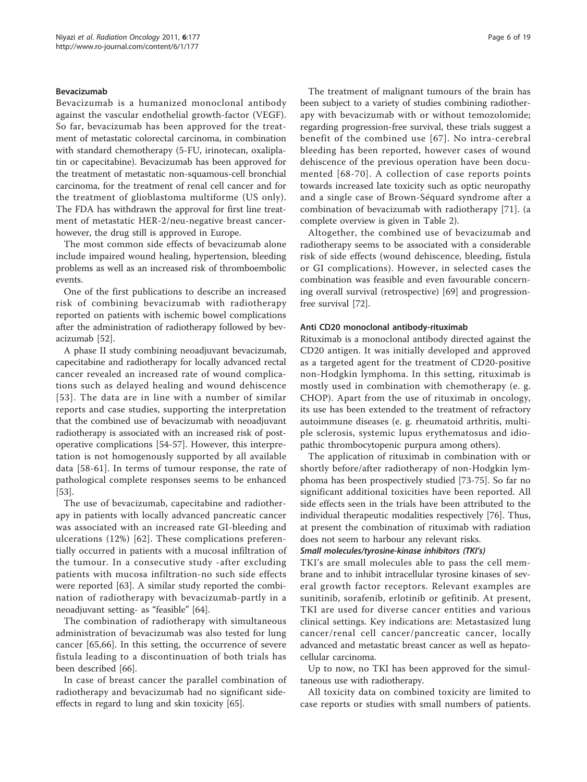# Bevacizumab

Bevacizumab is a humanized monoclonal antibody against the vascular endothelial growth-factor (VEGF). So far, bevacizumab has been approved for the treatment of metastatic colorectal carcinoma, in combination with standard chemotherapy (5-FU, irinotecan, oxaliplatin or capecitabine). Bevacizumab has been approved for the treatment of metastatic non-squamous-cell bronchial carcinoma, for the treatment of renal cell cancer and for the treatment of glioblastoma multiforme (US only). The FDA has withdrawn the approval for first line treatment of metastatic HER-2/neu-negative breast cancerhowever, the drug still is approved in Europe.

The most common side effects of bevacizumab alone include impaired wound healing, hypertension, bleeding problems as well as an increased risk of thromboembolic events.

One of the first publications to describe an increased risk of combining bevacizumab with radiotherapy reported on patients with ischemic bowel complications after the administration of radiotherapy followed by bevacizumab [[52](#page-13-0)].

A phase II study combining neoadjuvant bevacizumab, capecitabine and radiotherapy for locally advanced rectal cancer revealed an increased rate of wound complications such as delayed healing and wound dehiscence [[53](#page-13-0)]. The data are in line with a number of similar reports and case studies, supporting the interpretation that the combined use of bevacizumab with neoadjuvant radiotherapy is associated with an increased risk of postoperative complications [[54](#page-13-0)-[57\]](#page-13-0). However, this interpretation is not homogenously supported by all available data [[58-61\]](#page-13-0). In terms of tumour response, the rate of pathological complete responses seems to be enhanced [[53\]](#page-13-0).

The use of bevacizumab, capecitabine and radiotherapy in patients with locally advanced pancreatic cancer was associated with an increased rate GI-bleeding and ulcerations (12%) [[62](#page-13-0)]. These complications preferentially occurred in patients with a mucosal infiltration of the tumour. In a consecutive study -after excluding patients with mucosa infiltration-no such side effects were reported [\[63\]](#page-13-0). A similar study reported the combination of radiotherapy with bevacizumab-partly in a neoadjuvant setting- as "feasible" [\[64\]](#page-14-0).

The combination of radiotherapy with simultaneous administration of bevacizumab was also tested for lung cancer [[65,66](#page-14-0)]. In this setting, the occurrence of severe fistula leading to a discontinuation of both trials has been described [\[66\]](#page-14-0).

In case of breast cancer the parallel combination of radiotherapy and bevacizumab had no significant sideeffects in regard to lung and skin toxicity [\[65\]](#page-14-0).

The treatment of malignant tumours of the brain has been subject to a variety of studies combining radiotherapy with bevacizumab with or without temozolomide; regarding progression-free survival, these trials suggest a benefit of the combined use [[67](#page-14-0)]. No intra-cerebral bleeding has been reported, however cases of wound dehiscence of the previous operation have been documented [[68](#page-14-0)-[70](#page-14-0)]. A collection of case reports points towards increased late toxicity such as optic neuropathy and a single case of Brown-Séquard syndrome after a combination of bevacizumab with radiotherapy [[71\]](#page-14-0). (a complete overview is given in Table [2\)](#page-6-0).

Altogether, the combined use of bevacizumab and radiotherapy seems to be associated with a considerable risk of side effects (wound dehiscence, bleeding, fistula or GI complications). However, in selected cases the combination was feasible and even favourable concerning overall survival (retrospective) [\[69](#page-14-0)] and progressionfree survival [[72](#page-14-0)].

#### Anti CD20 monoclonal antibody-rituximab

Rituximab is a monoclonal antibody directed against the CD20 antigen. It was initially developed and approved as a targeted agent for the treatment of CD20-positive non-Hodgkin lymphoma. In this setting, rituximab is mostly used in combination with chemotherapy (e. g. CHOP). Apart from the use of rituximab in oncology, its use has been extended to the treatment of refractory autoimmune diseases (e. g. rheumatoid arthritis, multiple sclerosis, systemic lupus erythematosus and idiopathic thrombocytopenic purpura among others).

The application of rituximab in combination with or shortly before/after radiotherapy of non-Hodgkin lymphoma has been prospectively studied [[73](#page-14-0)-[75\]](#page-14-0). So far no significant additional toxicities have been reported. All side effects seen in the trials have been attributed to the individual therapeutic modalities respectively [[76\]](#page-14-0). Thus, at present the combination of rituximab with radiation does not seem to harbour any relevant risks.

#### Small molecules/tyrosine-kinase inhibitors (TKI's)

TKI's are small molecules able to pass the cell membrane and to inhibit intracellular tyrosine kinases of several growth factor receptors. Relevant examples are sunitinib, sorafenib, erlotinib or gefitinib. At present, TKI are used for diverse cancer entities and various clinical settings. Key indications are: Metastasized lung cancer/renal cell cancer/pancreatic cancer, locally advanced and metastatic breast cancer as well as hepatocellular carcinoma.

Up to now, no TKI has been approved for the simultaneous use with radiotherapy.

All toxicity data on combined toxicity are limited to case reports or studies with small numbers of patients.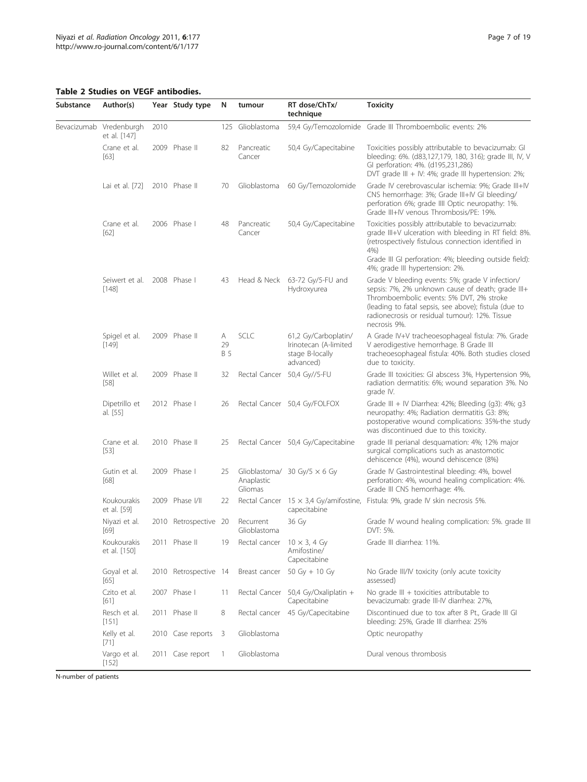<span id="page-6-0"></span>Table 2 Studies on VEGF antibodies.

| Substance            | Author(s)                               |      | Year Study type       | N              | tumour                             | RT dose/ChTx/<br>technique                                                    | <b>Toxicity</b>                                                                                                                                                                                                                                                             |
|----------------------|-----------------------------------------|------|-----------------------|----------------|------------------------------------|-------------------------------------------------------------------------------|-----------------------------------------------------------------------------------------------------------------------------------------------------------------------------------------------------------------------------------------------------------------------------|
|                      | Bevacizumab Vredenburgh<br>et al. [147] | 2010 |                       | 125            | Glioblastoma                       |                                                                               | 59,4 Gy/Temozolomide Grade III Thromboembolic events: 2%                                                                                                                                                                                                                    |
|                      | Crane et al.<br>[63]                    |      | 2009 Phase II         | 82             | Pancreatic<br>Cancer               | 50,4 Gy/Capecitabine                                                          | Toxicities possibly attributable to bevacizumab: GI<br>bleeding: 6%. (d83,127,179, 180, 316); grade III, IV, V<br>GI perforation: 4%. (d195,231,286)<br>DVT grade III + IV: 4%; grade III hypertension: 2%;                                                                 |
|                      | Lai et al. [72]                         |      | 2010 Phase II         | 70             | Glioblastoma                       | 60 Gy/Temozolomide                                                            | Grade IV cerebrovascular ischemia: 9%; Grade III+IV<br>CNS hemorrhage: 3%; Grade III+IV GI bleeding/<br>perforation 6%; grade IIII Optic neuropathy: 1%.<br>Grade III+IV venous Thrombosis/PE: 19%.                                                                         |
|                      | Crane et al.<br>$[62]$                  |      | 2006 Phase I          | 48             | Pancreatic<br>Cancer               | 50,4 Gy/Capecitabine                                                          | Toxicities possibly attributable to bevacizumab:<br>grade III+V ulceration with bleeding in RT field: 8%.<br>(retrospectively fistulous connection identified in<br>$4%$ )<br>Grade III GI perforation: 4%; bleeding outside field):<br>4%; grade III hypertension: 2%.     |
|                      | Seiwert et al.<br>$[148]$               |      | 2008 Phase I          | 43             |                                    | Head & Neck 63-72 Gy/5-FU and<br>Hydroxyurea                                  | Grade V bleeding events: 5%; grade V infection/<br>sepsis: 7%, 2% unknown cause of death; grade III+<br>Thromboembolic events: 5% DVT, 2% stroke<br>(leading to fatal sepsis, see above); fistula (due to<br>radionecrosis or residual tumour): 12%. Tissue<br>necrosis 9%. |
|                      | Spigel et al.<br>$[149]$                |      | 2009 Phase II         | A<br>29<br>B 5 | <b>SCLC</b>                        | 61,2 Gy/Carboplatin/<br>Irinotecan (A-limited<br>stage B-locally<br>advanced) | A Grade IV+V tracheoesophageal fistula: 7%. Grade<br>V aerodigestive hemorrhage. B Grade III<br>tracheoesophageal fistula: 40%. Both studies closed<br>due to toxicity.                                                                                                     |
|                      | Willet et al.<br>$[58]$                 |      | 2009 Phase II         | 32             |                                    | Rectal Cancer 50,4 Gy//5-FU                                                   | Grade III toxicities: GI abscess 3%, Hypertension 9%,<br>radiation dermatitis: 6%; wound separation 3%. No<br>grade IV.                                                                                                                                                     |
|                      | Dipetrillo et<br>al. [55]               |      | 2012 Phase I          | 26             |                                    | Rectal Cancer 50,4 Gy/FOLFOX                                                  | Grade III + IV Diarrhea: 42%; Bleeding (g3): 4%; g3<br>neuropathy: 4%; Radiation dermatitis G3: 8%;<br>postoperative wound complications: 35%-the study<br>was discontinued due to this toxicity.                                                                           |
|                      | Crane et al.<br>$[53]$                  |      | 2010 Phase II         | 25             |                                    | Rectal Cancer 50,4 Gy/Capecitabine                                            | grade III perianal desquamation: 4%; 12% major<br>surgical complications such as anastomotic<br>dehiscence (4%), wound dehiscence (8%)                                                                                                                                      |
|                      | Gutin et al.<br>[68]                    |      | 2009 Phase I          | 25             | Anaplastic<br>Gliomas              | Glioblastoma/ 30 Gy/5 $\times$ 6 Gy                                           | Grade IV Gastrointestinal bleeding: 4%, bowel<br>perforation: 4%, wound healing complication: 4%.<br>Grade III CNS hemorrhage: 4%.                                                                                                                                          |
|                      | Koukourakis<br>et al. [59]              |      | 2009 Phase I/II       | 22             |                                    | Rectal Cancer $15 \times 3.4$ Gy/amifostine,<br>capecitabine                  | Fistula: 9%, grade IV skin necrosis 5%.                                                                                                                                                                                                                                     |
|                      | Niyazi et al.<br>[69]                   |      | 2010 Retrospective 20 |                | Recurrent<br>Glioblastoma          | 36 Gy                                                                         | Grade IV wound healing complication: 5%. grade III<br>DVT: 5%.                                                                                                                                                                                                              |
|                      | Koukourakis<br>et al. [150]             |      | 2011 Phase II         | 19             | Rectal cancer $10 \times 3$ , 4 Gy | Amifostine/<br>Capecitabine                                                   | Grade III diarrhea: 11%.                                                                                                                                                                                                                                                    |
|                      | Goyal et al.<br>$[65]$                  |      | 2010 Retrospective 14 |                | Breast cancer                      | 50 Gy + 10 Gy                                                                 | No Grade III/IV toxicity (only acute toxicity<br>assessed)                                                                                                                                                                                                                  |
|                      | Czito et al.<br>[61]                    |      | 2007 Phase I          | 11             | Rectal Cancer                      | 50,4 Gy/Oxaliplatin +<br>Capecitabine                                         | No grade $III +$ toxicities attributable to<br>bevacizumab: grade III-IV diarrhea: 27%,                                                                                                                                                                                     |
|                      | Resch et al.<br>[151]                   |      | 2011 Phase II         | 8              | Rectal cancer                      | 45 Gy/Capecitabine                                                            | Discontinued due to tox after 8 Pt., Grade III GI<br>bleeding: 25%, Grade III diarrhea: 25%                                                                                                                                                                                 |
|                      | Kelly et al.<br>$[71]$                  |      | 2010 Case reports     | 3              | Glioblastoma                       |                                                                               | Optic neuropathy                                                                                                                                                                                                                                                            |
|                      | Vargo et al.<br>[152]                   |      | 2011 Case report      | 1              | Glioblastoma                       |                                                                               | Dural venous thrombosis                                                                                                                                                                                                                                                     |
| N-number of patients |                                         |      |                       |                |                                    |                                                                               |                                                                                                                                                                                                                                                                             |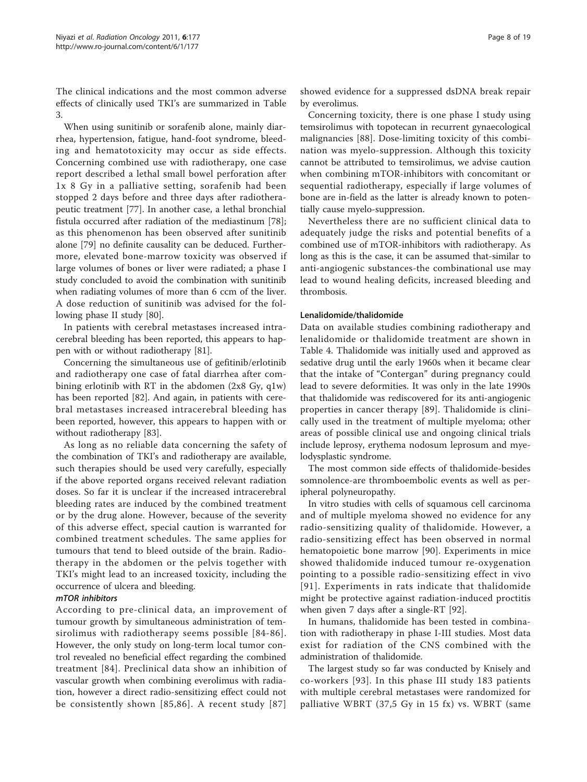The clinical indications and the most common adverse effects of clinically used TKI's are summarized in Table [3.](#page-8-0)

When using sunitinib or sorafenib alone, mainly diarrhea, hypertension, fatigue, hand-foot syndrome, bleeding and hematotoxicity may occur as side effects. Concerning combined use with radiotherapy, one case report described a lethal small bowel perforation after 1x 8 Gy in a palliative setting, sorafenib had been stopped 2 days before and three days after radiotherapeutic treatment [\[77](#page-14-0)]. In another case, a lethal bronchial fistula occurred after radiation of the mediastinum [\[78](#page-14-0)]; as this phenomenon has been observed after sunitinib alone [[79\]](#page-14-0) no definite causality can be deduced. Furthermore, elevated bone-marrow toxicity was observed if large volumes of bones or liver were radiated; a phase I study concluded to avoid the combination with sunitinib when radiating volumes of more than 6 ccm of the liver. A dose reduction of sunitinib was advised for the following phase II study [\[80\]](#page-14-0).

In patients with cerebral metastases increased intracerebral bleeding has been reported, this appears to happen with or without radiotherapy [\[81\]](#page-14-0).

Concerning the simultaneous use of gefitinib/erlotinib and radiotherapy one case of fatal diarrhea after combining erlotinib with RT in the abdomen (2x8 Gy, q1w) has been reported [[82\]](#page-14-0). And again, in patients with cerebral metastases increased intracerebral bleeding has been reported, however, this appears to happen with or without radiotherapy [[83\]](#page-14-0).

As long as no reliable data concerning the safety of the combination of TKI's and radiotherapy are available, such therapies should be used very carefully, especially if the above reported organs received relevant radiation doses. So far it is unclear if the increased intracerebral bleeding rates are induced by the combined treatment or by the drug alone. However, because of the severity of this adverse effect, special caution is warranted for combined treatment schedules. The same applies for tumours that tend to bleed outside of the brain. Radiotherapy in the abdomen or the pelvis together with TKI's might lead to an increased toxicity, including the occurrence of ulcera and bleeding.

# mTOR inhibitors

According to pre-clinical data, an improvement of tumour growth by simultaneous administration of temsirolimus with radiotherapy seems possible [[84](#page-14-0)-[86\]](#page-14-0). However, the only study on long-term local tumor control revealed no beneficial effect regarding the combined treatment [[84](#page-14-0)]. Preclinical data show an inhibition of vascular growth when combining everolimus with radiation, however a direct radio-sensitizing effect could not be consistently shown [[85,86](#page-14-0)]. A recent study [[87](#page-14-0)]

showed evidence for a suppressed dsDNA break repair by everolimus.

Concerning toxicity, there is one phase I study using temsirolimus with topotecan in recurrent gynaecological malignancies [\[88](#page-14-0)]. Dose-limiting toxicity of this combination was myelo-suppression. Although this toxicity cannot be attributed to temsirolimus, we advise caution when combining mTOR-inhibitors with concomitant or sequential radiotherapy, especially if large volumes of bone are in-field as the latter is already known to potentially cause myelo-suppression.

Nevertheless there are no sufficient clinical data to adequately judge the risks and potential benefits of a combined use of mTOR-inhibitors with radiotherapy. As long as this is the case, it can be assumed that-similar to anti-angiogenic substances-the combinational use may lead to wound healing deficits, increased bleeding and thrombosis.

# Lenalidomide/thalidomide

Data on available studies combining radiotherapy and lenalidomide or thalidomide treatment are shown in Table [4.](#page-10-0) Thalidomide was initially used and approved as sedative drug until the early 1960s when it became clear that the intake of "Contergan" during pregnancy could lead to severe deformities. It was only in the late 1990s that thalidomide was rediscovered for its anti-angiogenic properties in cancer therapy [[89](#page-14-0)]. Thalidomide is clinically used in the treatment of multiple myeloma; other areas of possible clinical use and ongoing clinical trials include leprosy, erythema nodosum leprosum and myelodysplastic syndrome.

The most common side effects of thalidomide-besides somnolence-are thromboembolic events as well as peripheral polyneuropathy.

In vitro studies with cells of squamous cell carcinoma and of multiple myeloma showed no evidence for any radio-sensitizing quality of thalidomide. However, a radio-sensitizing effect has been observed in normal hematopoietic bone marrow [[90\]](#page-14-0). Experiments in mice showed thalidomide induced tumour re-oxygenation pointing to a possible radio-sensitizing effect in vivo [[91](#page-14-0)]. Experiments in rats indicate that thalidomide might be protective against radiation-induced proctitis when given 7 days after a single-RT [[92](#page-14-0)].

In humans, thalidomide has been tested in combination with radiotherapy in phase I-III studies. Most data exist for radiation of the CNS combined with the administration of thalidomide.

The largest study so far was conducted by Knisely and co-workers [[93](#page-14-0)]. In this phase III study 183 patients with multiple cerebral metastases were randomized for palliative WBRT (37,5 Gy in 15 fx) vs. WBRT (same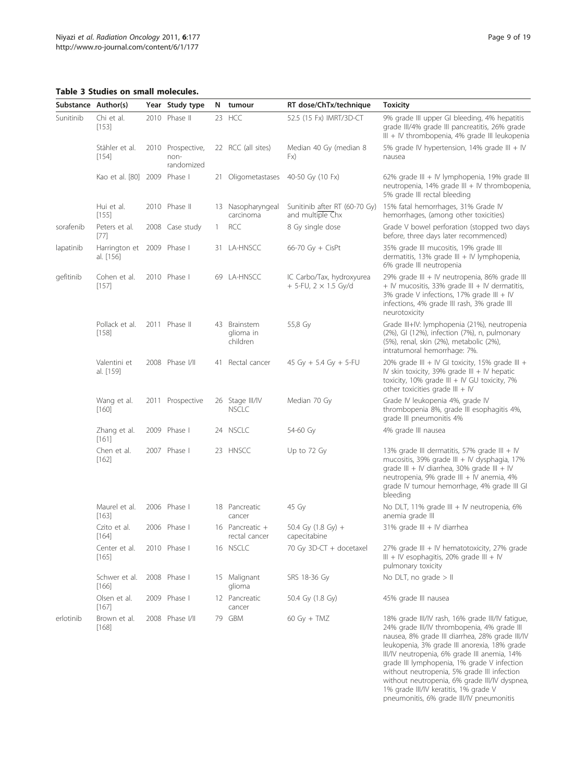<span id="page-8-0"></span>Table 3 Studies on small molecules.

| Substance Author(s) |                                         | Year Study type                         |   | N tumour                              | RT dose/ChTx/technique                                      | Toxicity                                                                                                                                                                                                                                            |
|---------------------|-----------------------------------------|-----------------------------------------|---|---------------------------------------|-------------------------------------------------------------|-----------------------------------------------------------------------------------------------------------------------------------------------------------------------------------------------------------------------------------------------------|
| Sunitinib           | Chi et al.<br>[153]                     | 2010 Phase II                           |   | 23 HCC                                | 52.5 (15 Fx) IMRT/3D-CT                                     | 9% grade III upper GI bleeding, 4% hepatitis<br>grade III/4% grade III pancreatitis, 26% grade<br>III + IV thrombopenia, 4% grade III leukopenia                                                                                                    |
|                     | Stähler et al.<br>$[154]$               | 2010 Prospective,<br>non-<br>randomized |   | 22 RCC (all sites)                    | Median 40 Gy (median 8<br>Fx)                               | 5% grade IV hypertension, 14% grade III + IV<br>nausea                                                                                                                                                                                              |
|                     | Kao et al. [80] 2009 Phase I            |                                         |   | 21 Oligometastases                    | 40-50 Gy (10 Fx)                                            | 62% grade III + IV lymphopenia, 19% grade III<br>neutropenia, 14% grade III + IV thrombopenia,<br>5% grade III rectal bleeding                                                                                                                      |
|                     | Hui et al.<br>[155]                     | 2010 Phase II                           |   | 13 Nasopharyngeal<br>carcinoma        | Sunitinib after RT (60-70 Gy)<br>and multiple Chx           | 15% fatal hemorrhages, 31% Grade IV<br>hemorrhages, (among other toxicities)                                                                                                                                                                        |
| sorafenib           | Peters et al.<br>[77]                   | 2008 Case study                         | 1 | <b>RCC</b>                            | 8 Gy single dose                                            | Grade V bowel perforation (stopped two days<br>before, three days later recommenced)                                                                                                                                                                |
| lapatinib           | Harrington et 2009 Phase I<br>al. [156] |                                         |   | 31 LA-HNSCC                           | $66-70$ Gy + CisPt                                          | 35% grade III mucositis, 19% grade III<br>dermatitis, 13% grade III + IV lymphopenia,<br>6% grade III neutropenia                                                                                                                                   |
| gefitinib           | Cohen et al.<br>[157]                   | 2010 Phase I                            |   | 69 LA-HNSCC                           | IC Carbo/Tax, hydroxyurea<br>$+ 5$ -FU, 2 $\times$ 1.5 Gy/d | 29% grade III + IV neutropenia, 86% grade III<br>+ IV mucositis, 33% grade III + IV dermatitis,<br>3% grade V infections, 17% grade III + IV<br>infections, 4% grade III rash, 3% grade III<br>neurotoxicity                                        |
|                     | Pollack et al.<br>[158]                 | 2011 Phase II                           |   | 43 Brainstem<br>glioma in<br>children | 55,8 Gy                                                     | Grade III+IV: lymphopenia (21%), neutropenia<br>(2%), GI (12%), infection (7%), n, pulmonary<br>(5%), renal, skin (2%), metabolic (2%),<br>intratumoral hemorrhage: 7%.                                                                             |
|                     | Valentini et<br>al. [159]               | 2008 Phase I/II                         |   | 41 Rectal cancer                      | 45 Gy + 5.4 Gy + 5-FU                                       | 20% grade III + IV GI toxicity, 15% grade III +<br>IV skin toxicity, 39% grade $III + IV$ hepatic<br>toxicity, 10% grade $III + IV$ GU toxicity, 7%<br>other toxicities grade $III + IV$                                                            |
|                     | Wang et al.<br>$[160]$                  | 2011 Prospective                        |   | 26 Stage III/IV<br><b>NSCLC</b>       | Median 70 Gy                                                | Grade IV leukopenia 4%, grade IV<br>thrombopenia 8%, grade III esophagitis 4%,<br>grade III pneumonitis 4%                                                                                                                                          |
|                     | Zhang et al.<br>[161]                   | 2009 Phase I                            |   | 24 NSCLC                              | 54-60 Gy                                                    | 4% grade III nausea                                                                                                                                                                                                                                 |
|                     | Chen et al.<br>$[162]$                  | 2007 Phase I                            |   | 23 HNSCC                              | Up to 72 Gy                                                 | 13% grade III dermatitis, 57% grade III + IV<br>mucositis, 39% grade III + IV dysphagia, 17%<br>grade III + IV diarrhea, 30% grade III + IV<br>neutropenia, 9% grade III + IV anemia, 4%<br>grade IV tumour hemorrhage, 4% grade III GI<br>bleeding |
|                     | Maurel et al.<br>[163]                  | 2006 Phase I                            |   | 18 Pancreatic<br>cancer               | 45 Gy                                                       | No DLT, 11% grade III + IV neutropenia, 6%<br>anemia grade III                                                                                                                                                                                      |
|                     | Czito et al.<br>$[164]$                 | 2006 Phase I                            |   | 16 Pancreatic +<br>rectal cancer      | 50.4 Gy $(1.8 \text{ Gy}) +$<br>capecitabine                | 31% grade III + IV diarrhea                                                                                                                                                                                                                         |
|                     | Center et al.<br>[165]                  | 2010 Phase I                            |   | 16 NSCLC                              | 70 Gy 3D-CT + docetaxel                                     | 27% grade III + IV hematotoxicity, 27% grade<br>$III + IV$ esophagitis, 20% grade $III + IV$<br>pulmonary toxicity                                                                                                                                  |
|                     | Schwer et al.<br>[166]                  | 2008 Phase I                            |   | 15 Malignant<br>glioma                | SRS 18-36 Gy                                                | No DLT, no grade > II                                                                                                                                                                                                                               |
|                     | Olsen et al.<br>[167]                   | 2009 Phase I                            |   | 12 Pancreatic<br>cancer               | 50.4 Gy (1.8 Gy)                                            | 45% grade III nausea                                                                                                                                                                                                                                |
| erlotinib           | Brown et al.<br>[168]                   | 2008 Phase I/II                         |   | 79 GBM                                | $60$ Gy + TMZ                                               | 18% grade III/IV rash, 16% grade III/IV fatigue,<br>24% grade III/IV thrombopenia, 4% grade III<br>nausea, 8% grade III diarrhea, 28% grade III/IV                                                                                                  |

nausea, 8% grade III diarrhea, 28% grade III/IV leukopenia, 3% grade III anorexia, 18% grade III/IV neutropenia, 6% grade III anemia, 14% grade III lymphopenia, 1% grade V infection without neutropenia, 5% grade III infection without neutropenia, 6% grade III/IV dyspnea, 1% grade III/IV keratitis, 1% grade V pneumonitis, 6% grade III/IV pneumonitis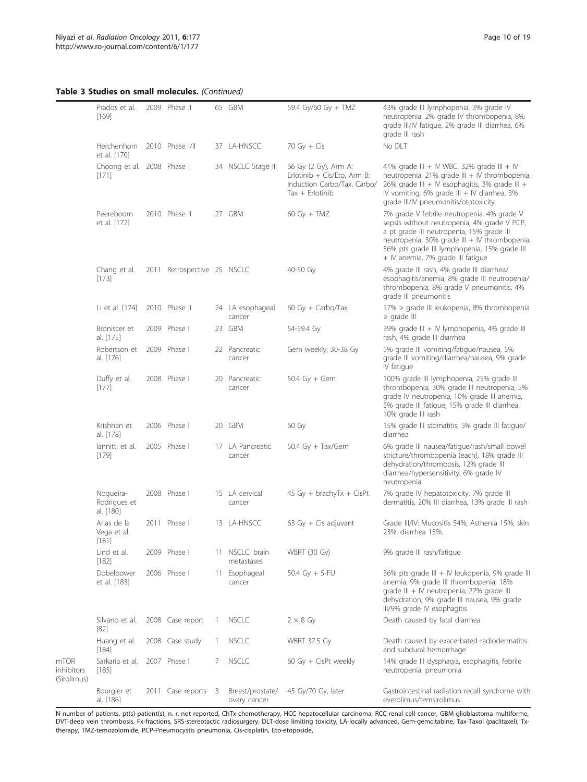| Table 3 Studies on small molecules. (Continued) |  |  |
|-------------------------------------------------|--|--|
|-------------------------------------------------|--|--|

|                                   | Prados et al.<br>[169]                      |      | 2009 Phase II               |   | 65 GBM                           | 59.4 Gy/60 Gy + TMZ                                                                                     | 43% grade III lymphopenia, 3% grade IV<br>neutropenia, 2% grade IV thrombopenia, 8%<br>grade III/IV fatigue, 2% grade III diarrhea, 6%<br>grade III rash                                                                                                                     |
|-----------------------------------|---------------------------------------------|------|-----------------------------|---|----------------------------------|---------------------------------------------------------------------------------------------------------|------------------------------------------------------------------------------------------------------------------------------------------------------------------------------------------------------------------------------------------------------------------------------|
|                                   | Herchenhorn 2010 Phase I/II<br>et al. [170] |      |                             |   | 37 LA-HNSCC                      | 70 Gy + Cis                                                                                             | No DLT                                                                                                                                                                                                                                                                       |
|                                   | Choong et al. 2008 Phase I<br>[171]         |      |                             |   | 34 NSCLC Stage III               | 66 Gy (2 Gy), Arm A:<br>Erlotinib + Cis/Eto, Arm B:<br>Induction Carbo/Tax, Carbo/<br>$Tax + Entotinib$ | 41% grade III + IV WBC, 32% grade III + IV<br>neutropenia, 21% grade III + IV thrombopenia,<br>26% grade III + IV esophagitis, 3% grade III +<br>IV vomiting, 6% grade III + IV diarrhea, 3%<br>grade III/IV pneumonitis/ototoxicity                                         |
|                                   | Peereboom<br>et al. [172]                   |      | 2010 Phase II               |   | 27 GBM                           | $60$ Gy + TMZ                                                                                           | 7% grade V febrile neutropenia, 4% grade V<br>sepsis without neutropenia, 4% grade V PCP,<br>a pt grade III neutropenia, 15% grade III<br>neutropenia, 30% grade III + IV thrombopenia,<br>56% pts grade III lymphopenia, 15% grade III<br>+ IV anemia, 7% grade III fatigue |
|                                   | Chang et al.<br>[173]                       |      | 2011 Retrospective 25 NSCLC |   |                                  | 40-50 Gy                                                                                                | 4% grade III rash, 4% grade III diarrhea/<br>esophagitis/anemia, 8% grade III neutropenia/<br>thrombopenia, 8% grade V pneumonitis, 4%<br>grade III pneumonitis                                                                                                              |
|                                   | Li et al. [174]                             |      | 2010 Phase II               |   | 24 LA esophageal<br>cancer       | 60 Gy + Carbo/Tax                                                                                       | 17% ≥ grade III leukopenia, 8% thrombopenia<br>$\ge$ grade III                                                                                                                                                                                                               |
|                                   | Broniscer et<br>al. [175]                   |      | 2009 Phase I                |   | 23 GBM                           | 54-59.4 Gy                                                                                              | 39% grade III + IV lymphopenia, 4% grade III<br>rash, 4% grade III diarrhea                                                                                                                                                                                                  |
|                                   | Robertson et<br>al. [176]                   |      | 2009 Phase I                |   | 22 Pancreatic<br>cancer          | Gem weekly, 30-38 Gy                                                                                    | 5% grade III vomiting/fatigue/nausea, 5%<br>grade III vomiting/diarrhea/nausea, 9% grade<br>IV fatique                                                                                                                                                                       |
|                                   | Duffy et al.<br>[177]                       |      | 2008 Phase I                |   | 20 Pancreatic<br>cancer          | 50.4 Gy + Gem                                                                                           | 100% grade III lymphopenia, 25% grade III<br>thrombopenia, 30% grade III neutropenia, 5%<br>grade IV neutropenia, 10% grade III anemia,<br>5% grade III fatigue, 15% grade III diarrhea,<br>10% grade III rash                                                               |
|                                   | Krishnan et<br>al. [178]                    |      | 2006 Phase I                |   | 20 GBM                           | 60 Gy                                                                                                   | 15% grade III stomatitis, 5% grade III fatigue/<br>diarrhea                                                                                                                                                                                                                  |
|                                   | lannitti et al.<br>[179]                    |      | 2005 Phase I                |   | 17 LA Pancreatic<br>cancer       | 50.4 Gy + Tax/Gem                                                                                       | 6% grade III nausea/fatigue/rash/small bowel<br>stricture/thrombopenia (each), 18% grade III<br>dehydration/thrombosis, 12% grade III<br>diarrhea/hypersensitivity, 6% grade IV<br>neutropenia                                                                               |
|                                   | Noqueira-<br>Rodrigues et<br>al. [180]      |      | 2008 Phase I                |   | 15 LA cervical<br>cancer         | 45 Gy + brachyTx + CisPt                                                                                | 7% grade IV hepatotoxicity, 7% grade III<br>dermatitis, 20% III diarrhea, 13% grade III rash                                                                                                                                                                                 |
|                                   | Arias de la<br>Vega et al.<br>[181]         | 2011 | Phase I                     |   | 13 LA-HNSCC                      | $63$ Gy + Cis adjuvant                                                                                  | Grade III/IV: Mucositis 54%, Asthenia 15%, skin<br>23%, diarrhea 15%.                                                                                                                                                                                                        |
|                                   | Lind et al.<br>[182]                        |      | 2009 Phase I                |   | 11 NSCLC, brain<br>metastases    | <b>WBRT (30 Gy)</b>                                                                                     | 9% grade III rash/fatigue                                                                                                                                                                                                                                                    |
|                                   | Dobelbower<br>et al. [183]                  |      | 2006 Phase I                |   | 11 Esophageal<br>cancer          | 50.4 Gy $+$ 5-FU                                                                                        | 36% pts grade III + IV leukopenia, 9% grade III<br>anemia, 9% grade III thrombopenia, 18%<br>grade III + IV neutropenia, 27% grade III<br>dehydration, 9% grade III nausea, 9% grade<br>III/9% grade IV esophagitis                                                          |
|                                   | Silvano et al.<br>$[82]$                    |      | 2008 Case report            | 1 | <b>NSCLC</b>                     | $2 \times 8$ Gy                                                                                         | Death caused by fatal diarrhea                                                                                                                                                                                                                                               |
|                                   | Huang et al.<br>$[184]$                     |      | 2008 Case study             | 1 | <b>NSCLC</b>                     | <b>WBRT 37.5 Gy</b>                                                                                     | Death caused by exacerbated radiodermatitis<br>and subdural hemorrhage                                                                                                                                                                                                       |
| mTOR<br>inhibitors<br>(Sirolimus) | Sarkaria et al.<br>[185]                    |      | 2007 Phase I                | 7 | <b>NSCLC</b>                     | 60 Gy + CisPt weekly                                                                                    | 14% grade III dysphagia, esophagitis, febrile<br>neutropenia, pneumonia                                                                                                                                                                                                      |
|                                   | Bourgier et<br>al. [186]                    |      | 2011 Case reports           | 3 | Breast/prostate/<br>ovary cancer | 45 Gy/70 Gy, later                                                                                      | Gastrointestinal radiation recall syndrome with<br>everolimus/temsirolimus                                                                                                                                                                                                   |

N-number of patients, pt(s)-patient(s), n. r.-not reported, ChTx-chemotherapy, HCC-hepatocellular carcinoma, RCC-renal cell cancer, GBM-glioblastoma multiforme, DVT-deep vein thrombosis, Fx-fractions, SRS-stereotactic radiosurgery, DLT-dose limiting toxicity, LA-locally advanced, Gem-gemcitabine, Tax-Taxol (paclitaxel), Txtherapy, TMZ-temozolomide, PCP-Pneumocystis pneumonia, Cis-cisplatin, Eto-etoposide,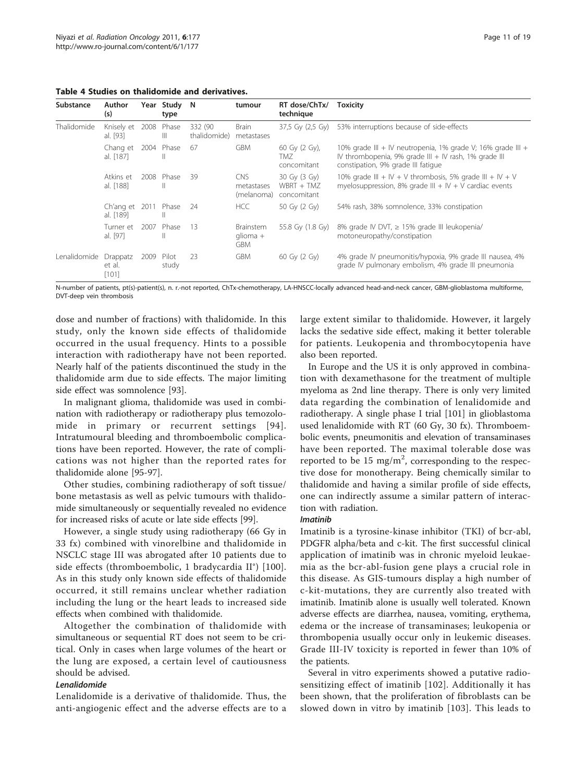<span id="page-10-0"></span>Table 4 Studies on thalidomide and derivatives.

| Substance    | Author<br>(s)               | Year | Study<br>type   | N                        | tumour                                       | RT dose/ChTx/<br>technique                  | <b>Toxicity</b>                                                                                                                                              |
|--------------|-----------------------------|------|-----------------|--------------------------|----------------------------------------------|---------------------------------------------|--------------------------------------------------------------------------------------------------------------------------------------------------------------|
| Thalidomide  | Knisely et<br>al. [93]      | 2008 | Phase<br>Ш      | 332 (90)<br>thalidomide) | <b>Brain</b><br>metastases                   | 37,5 Gy (2,5 Gy)                            | 53% interruptions because of side-effects                                                                                                                    |
|              | Chang et<br>al. [187]       |      | 2004 Phase<br>Ш | 67                       | <b>GBM</b>                                   | 60 Gy (2 Gy),<br>TMZ<br>concomitant         | 10% grade III + IV neutropenia, 1% grade V; 16% grade III +<br>IV thrombopenia, 9% grade $III + IV$ rash, 1% grade III<br>constipation, 9% grade III fatigue |
|              | Atkins et<br>al. [188]      | 2008 | Phase<br>Ш      | 39                       | <b>CNS</b><br>metastases<br>(melanoma)       | 30 Gy (3 Gy)<br>$WBRT + TMZ$<br>concomitant | 10% grade III + IV + V thrombosis, 5% grade III + IV + V<br>myelosuppression, 8% grade $III + IV + V$ cardiac events                                         |
|              | Ch'ang et<br>al. [189]      | 2011 | Phase<br>Ш      | 24                       | <b>HCC</b>                                   | 50 Gy (2 Gy)                                | 54% rash, 38% somnolence, 33% constipation                                                                                                                   |
|              | Turner et<br>al. [97]       | 2007 | Phase<br>Ш      | 13                       | <b>Brainstem</b><br>$qlioma +$<br><b>GBM</b> | 55.8 Gy (1.8 Gy)                            | 8% grade IV DVT, ≥ 15% grade III leukopenia/<br>motoneuropathy/constipation                                                                                  |
| Lenalidomide | Drappatz<br>et al.<br>[101] | 2009 | Pilot<br>study  | 23                       | <b>GBM</b>                                   | 60 Gy (2 Gy)                                | 4% grade IV pneumonitis/hypoxia, 9% grade III nausea, 4%<br>grade IV pulmonary embolism, 4% grade III pneumonia                                              |

N-number of patients, pt(s)-patient(s), n. r.-not reported, ChTx-chemotherapy, LA-HNSCC-locally advanced head-and-neck cancer, GBM-glioblastoma multiforme, DVT-deep vein thrombosis

dose and number of fractions) with thalidomide. In this study, only the known side effects of thalidomide occurred in the usual frequency. Hints to a possible interaction with radiotherapy have not been reported. Nearly half of the patients discontinued the study in the thalidomide arm due to side effects. The major limiting side effect was somnolence [\[93\]](#page-14-0).

In malignant glioma, thalidomide was used in combination with radiotherapy or radiotherapy plus temozolomide in primary or recurrent settings [[94\]](#page-14-0). Intratumoural bleeding and thromboembolic complications have been reported. However, the rate of complications was not higher than the reported rates for thalidomide alone [[95](#page-14-0)-[97\]](#page-14-0).

Other studies, combining radiotherapy of soft tissue/ bone metastasis as well as pelvic tumours with thalidomide simultaneously or sequentially revealed no evidence for increased risks of acute or late side effects [[99\]](#page-15-0).

However, a single study using radiotherapy (66 Gy in 33 fx) combined with vinorelbine and thalidomide in NSCLC stage III was abrogated after 10 patients due to side effects (thromboembolic, 1 bradycardia II°) [[100\]](#page-15-0). As in this study only known side effects of thalidomide occurred, it still remains unclear whether radiation including the lung or the heart leads to increased side effects when combined with thalidomide.

Altogether the combination of thalidomide with simultaneous or sequential RT does not seem to be critical. Only in cases when large volumes of the heart or the lung are exposed, a certain level of cautiousness should be advised.

# Lenalidomide

Lenalidomide is a derivative of thalidomide. Thus, the anti-angiogenic effect and the adverse effects are to a large extent similar to thalidomide. However, it largely lacks the sedative side effect, making it better tolerable for patients. Leukopenia and thrombocytopenia have also been reported.

In Europe and the US it is only approved in combination with dexamethasone for the treatment of multiple myeloma as 2nd line therapy. There is only very limited data regarding the combination of lenalidomide and radiotherapy. A single phase I trial [[101](#page-15-0)] in glioblastoma used lenalidomide with RT (60 Gy, 30 fx). Thromboembolic events, pneumonitis and elevation of transaminases have been reported. The maximal tolerable dose was reported to be 15  $mg/m^2$ , corresponding to the respective dose for monotherapy. Being chemically similar to thalidomide and having a similar profile of side effects, one can indirectly assume a similar pattern of interaction with radiation.

### Imatinib

Imatinib is a tyrosine-kinase inhibitor (TKI) of bcr-abl, PDGFR alpha/beta and c-kit. The first successful clinical application of imatinib was in chronic myeloid leukaemia as the bcr-abl-fusion gene plays a crucial role in this disease. As GIS-tumours display a high number of c-kit-mutations, they are currently also treated with imatinib. Imatinib alone is usually well tolerated. Known adverse effects are diarrhea, nausea, vomiting, erythema, edema or the increase of transaminases; leukopenia or thrombopenia usually occur only in leukemic diseases. Grade III-IV toxicity is reported in fewer than 10% of the patients.

Several in vitro experiments showed a putative radiosensitizing effect of imatinib [\[102\]](#page-15-0). Additionally it has been shown, that the proliferation of fibroblasts can be slowed down in vitro by imatinib [[103\]](#page-15-0). This leads to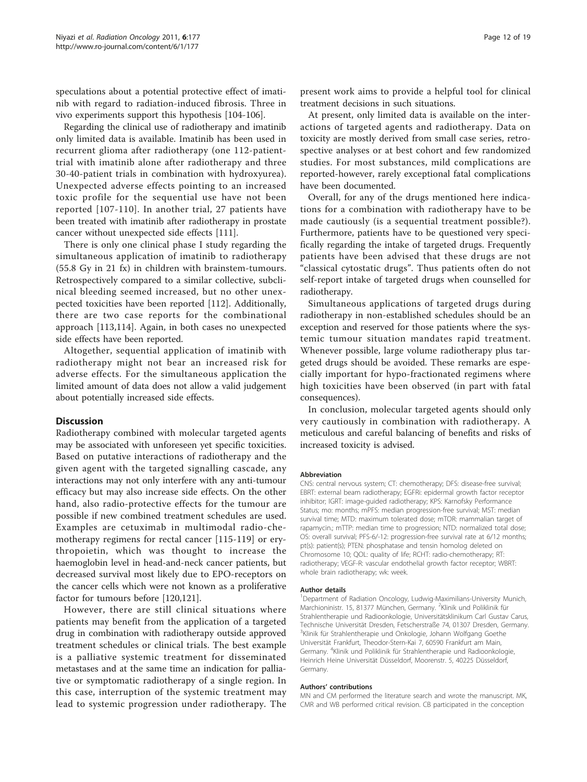speculations about a potential protective effect of imatinib with regard to radiation-induced fibrosis. Three in vivo experiments support this hypothesis [\[104-106](#page-15-0)].

Regarding the clinical use of radiotherapy and imatinib only limited data is available. Imatinib has been used in recurrent glioma after radiotherapy (one 112-patienttrial with imatinib alone after radiotherapy and three 30-40-patient trials in combination with hydroxyurea). Unexpected adverse effects pointing to an increased toxic profile for the sequential use have not been reported [[107-110\]](#page-15-0). In another trial, 27 patients have been treated with imatinib after radiotherapy in prostate cancer without unexpected side effects [\[111\]](#page-15-0).

There is only one clinical phase I study regarding the simultaneous application of imatinib to radiotherapy (55.8 Gy in 21 fx) in children with brainstem-tumours. Retrospectively compared to a similar collective, subclinical bleeding seemed increased, but no other unexpected toxicities have been reported [\[112\]](#page-15-0). Additionally, there are two case reports for the combinational approach [\[113,114](#page-15-0)]. Again, in both cases no unexpected side effects have been reported.

Altogether, sequential application of imatinib with radiotherapy might not bear an increased risk for adverse effects. For the simultaneous application the limited amount of data does not allow a valid judgement about potentially increased side effects.

# **Discussion**

Radiotherapy combined with molecular targeted agents may be associated with unforeseen yet specific toxicities. Based on putative interactions of radiotherapy and the given agent with the targeted signalling cascade, any interactions may not only interfere with any anti-tumour efficacy but may also increase side effects. On the other hand, also radio-protective effects for the tumour are possible if new combined treatment schedules are used. Examples are cetuximab in multimodal radio-chemotherapy regimens for rectal cancer [[115-119](#page-15-0)] or erythropoietin, which was thought to increase the haemoglobin level in head-and-neck cancer patients, but decreased survival most likely due to EPO-receptors on the cancer cells which were not known as a proliferative factor for tumours before [[120](#page-15-0),[121](#page-15-0)].

However, there are still clinical situations where patients may benefit from the application of a targeted drug in combination with radiotherapy outside approved treatment schedules or clinical trials. The best example is a palliative systemic treatment for disseminated metastases and at the same time an indication for palliative or symptomatic radiotherapy of a single region. In this case, interruption of the systemic treatment may lead to systemic progression under radiotherapy. The

present work aims to provide a helpful tool for clinical treatment decisions in such situations.

At present, only limited data is available on the interactions of targeted agents and radiotherapy. Data on toxicity are mostly derived from small case series, retrospective analyses or at best cohort and few randomized studies. For most substances, mild complications are reported-however, rarely exceptional fatal complications have been documented.

Overall, for any of the drugs mentioned here indications for a combination with radiotherapy have to be made cautiously (is a sequential treatment possible?). Furthermore, patients have to be questioned very specifically regarding the intake of targeted drugs. Frequently patients have been advised that these drugs are not "classical cytostatic drugs". Thus patients often do not self-report intake of targeted drugs when counselled for radiotherapy.

Simultaneous applications of targeted drugs during radiotherapy in non-established schedules should be an exception and reserved for those patients where the systemic tumour situation mandates rapid treatment. Whenever possible, large volume radiotherapy plus targeted drugs should be avoided. These remarks are especially important for hypo-fractionated regimens where high toxicities have been observed (in part with fatal consequences).

In conclusion, molecular targeted agents should only very cautiously in combination with radiotherapy. A meticulous and careful balancing of benefits and risks of increased toxicity is advised.

#### Abbreviation

CNS: central nervous system; CT: chemotherapy; DFS: disease-free survival; EBRT: external beam radiotherapy; EGFRi: epidermal growth factor receptor inhibitor; IGRT: image-guided radiotherapy; KPS: Karnofsky Performance Status; mo: months; mPFS: median progression-free survival; MST: median survival time; MTD: maximum tolerated dose; mTOR: mammalian target of rapamycin.; mTTP: median time to progression; NTD: normalized total dose; OS: overall survival; PFS-6/-12: progression-free survival rate at 6/12 months; pt(s): patient(s); PTEN: phosphatase and tensin homolog deleted on Chromosome 10; QOL: quality of life; RCHT: radio-chemotherapy; RT: radiotherapy; VEGF-R: vascular endothelial growth factor receptor; WBRT: whole brain radiotherapy; wk: week.

#### Author details

<sup>1</sup>Department of Radiation Oncology, Ludwig-Maximilians-University Munich, Marchioninistr. 15, 81377 München, Germany. <sup>2</sup>Klinik und Poliklinik für Strahlentherapie und Radioonkologie, Universitätsklinikum Carl Gustav Carus, Technische Universität Dresden, Fetscherstraße 74, 01307 Dresden, Germany. <sup>3</sup>Klinik für Strahlentherapie und Onkologie, Johann Wolfgang Goethe Universität Frankfurt, Theodor-Stern-Kai 7, 60590 Frankfurt am Main, Germany. <sup>4</sup> Klinik und Poliklinik für Strahlentherapie und Radioonkologie, Heinrich Heine Universität Düsseldorf, Moorenstr. 5, 40225 Düsseldorf, Germany.

#### Authors' contributions

MN and CM performed the literature search and wrote the manuscript. MK, CMR and WB performed critical revision. CB participated in the conception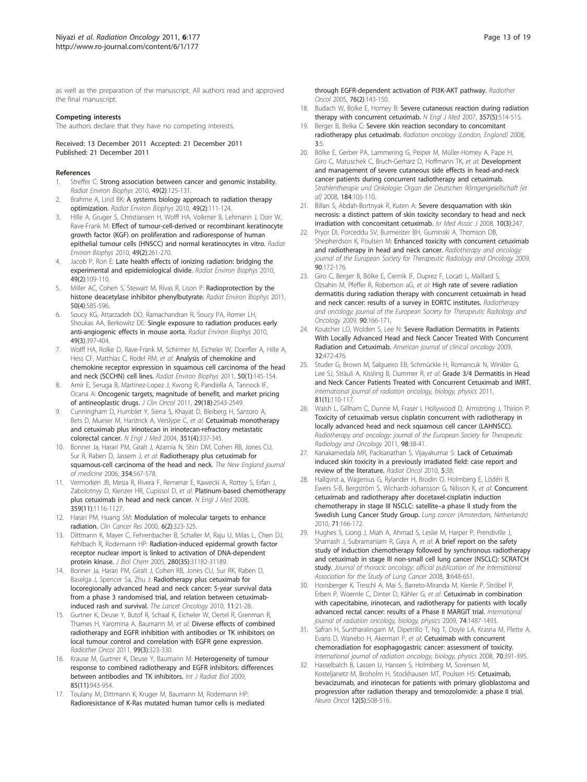<span id="page-12-0"></span>as well as the preparation of the manuscript. All authors read and approved the final manuscript.

#### Competing interests

The authors declare that they have no competing interests.

Received: 13 December 2011 Accepted: 21 December 2011 Published: 21 December 2011

#### References

- 1. Streffer C: Strong association between cancer and genomic instability. Radiat Environ Biophys 2010, 49(2):125-131.
- 2. Brahme A, Lind BK: A systems biology approach to radiation therapy optimization. Radiat Environ Biophys 2010, 49(2):111-124.
- 3. Hille A, Gruger S, Christiansen H, Wolff HA, Volkmer B, Lehmann J, Dorr W, Rave-Frank M: Effect of tumour-cell-derived or recombinant keratinocyte growth factor (KGF) on proliferation and radioresponse of human epithelial tumour cells (HNSCC) and normal keratinocytes in vitro. Radiat Environ Biophys 2010, 49(2):261-270.
- 4. Jacob P, Ron E: Late health effects of ionizing radiation: bridging the experimental and epidemiological divide. Radiat Environ Biophys 2010, 49(2):109-110.
- 5. Miller AC, Cohen S, Stewart M, Rivas R, Lison P: Radioprotection by the histone deacetylase inhibitor phenylbutyrate. Radiat Environ Biophys 2011, 50(4):585-596.
- 6. Soucy KG, Attarzadeh DO, Ramachandran R, Soucy PA, Romer LH, Shoukas AA, Berkowitz DE: Single exposure to radiation produces early anti-angiogenic effects in mouse aorta. Radiat Environ Biophys 2010, 49(3):397-404.
- 7. Wolff HA, Rolke D, Rave-Frank M, Schirmer M, Eicheler W, Doerfler A, Hille A, Hess CF, Matthias C, Rodel RM, et al: Analysis of chemokine and chemokine receptor expression in squamous cell carcinoma of the head and neck (SCCHN) cell lines. Radiat Environ Biophys 2011, 50(1):145-154.
- 8. Amir E, Seruga B, Martinez-Lopez J, Kwong R, Pandiella A, Tannock IF, Ocana A: Oncogenic targets, magnitude of benefit, and market pricing of antineoplastic drugs. J Clin Oncol 2011, 29(18):2543-2549.
- 9. Cunningham D, Humblet Y, Siena S, Khayat D, Bleiberg H, Santoro A, Bets D, Mueser M, Harstrick A, Verslype C, et al: Cetuximab monotherapy and cetuximab plus irinotecan in irinotecan-refractory metastatic colorectal cancer. N Engl J Med 2004, 351(4):337-345.
- 10. Bonner Ja, Harari PM, Giralt J, Azarnia N, Shin DM, Cohen RB, Jones CU, Sur R, Raben D, Jassem J, et al: Radiotherapy plus cetuximab for squamous-cell carcinoma of the head and neck. The New England journal of medicine 2006, 354:567-578.
- 11. Vermorken JB, Mesia R, Rivera F, Remenar E, Kawecki A, Rottey S, Erfan J, Zabolotnyy D, Kienzer HR, Cupissol D, et al: Platinum-based chemotherapy plus cetuximab in head and neck cancer. N Engl J Med 2008, 359(11):1116-1127.
- 12. Harari PM, Huang SM: Modulation of molecular targets to enhance radiation. Clin Cancer Res 2000, 6(2):323-325.
- 13. Dittmann K, Mayer C, Fehrenbacher B, Schaller M, Raju U, Milas L, Chen DJ, Kehlbach R, Rodemann HP: Radiation-induced epidermal growth factor receptor nuclear import is linked to activation of DNA-dependent protein kinase. J Biol Chem 2005, 280(35):31182-31189.
- 14. Bonner Ja, Harari PM, Giralt J, Cohen RB, Jones CU, Sur RK, Raben D, Baselga J, Spencer Sa, Zhu J: Radiotherapy plus cetuximab for locoregionally advanced head and neck cancer: 5-year survival data from a phase 3 randomised trial, and relation between cetuximabinduced rash and survival. The Lancet Oncology 2010, 11:21-28.
- 15. Gurtner K, Deuse Y, Butof R, Schaal K, Eicheler W, Oertel R, Grenman R, Thames H, Yaromina A, Baumann M, et al: Diverse effects of combined radiotherapy and EGFR inhibition with antibodies or TK inhibitors on local tumour control and correlation with EGFR gene expression. Radiother Oncol 2011, 99(3):323-330.
- 16. Krause M, Gurtner K, Deuse Y, Baumann M: Heterogeneity of tumour response to combined radiotherapy and EGFR inhibitors: differences between antibodies and TK inhibitors. Int J Radiat Biol 2009, 85(11):943-954.
- 17. Toulany M, Dittmann K, Kruger M, Baumann M, Rodemann HP: Radioresistance of K-Ras mutated human tumor cells is mediated

through EGFR-dependent activation of PI3K-AKT pathway. Radiother Oncol 2005, 76(2):143-150.

- 18. Budach W, Bolke E, Homey B: Severe cutaneous reaction during radiation therapy with concurrent cetuximab. N Engl J Med 2007, 357(5):514-515.
- 19. Berger B, Belka C: Severe skin reaction secondary to concomitant radiotherapy plus cetuximab. Radiation oncology (London, England) 2008, 3:5.
- 20. Bölke E, Gerber PA, Lammering G, Peiper M, Müller-Homey A, Pape H, Giro C, Matuschek C, Bruch-Gerharz D, Hoffmann TK, et al: Development and management of severe cutaneous side effects in head-and-neck cancer patients during concurrent radiotherapy and cetuximab. Strahlentherapie und Onkologie: Organ der Deutschen Röntgengesellschaft [et al] 2008, 184:105-110.
- 21. Billan S, Abdah-Bortnyak R, Kuten A: Severe desquamation with skin necrosis: a distinct pattern of skin toxicity secondary to head and neck irradiation with concomitant cetuximab. Isr Med Assoc J 2008, 10(3):247.
- 22. Pryor DI, Porceddu SV, Burmeister BH, Guminski A, Thomson DB, Shepherdson K, Poulsen M: Enhanced toxicity with concurrent cetuximab and radiotherapy in head and neck cancer. Radiotherapy and oncology: journal of the European Society for Therapeutic Radiology and Oncology 2009, 90:172-176.
- 23. Giro C, Berger B, Bölke E, Ciernik IF, Duprez F, Locati L, Maillard S, Ozsahin M, Pfeffer R, Robertson aG, et al: High rate of severe radiation dermatitis during radiation therapy with concurrent cetuximab in head and neck cancer: results of a survey in EORTC institutes. Radiotherapy and oncology: journal of the European Society for Therapeutic Radiology and Oncology 2009, 90:166-171.
- 24. Koutcher LD, Wolden S, Lee N: Severe Radiation Dermatitis in Patients With Locally Advanced Head and Neck Cancer Treated With Concurrent Radiation and Cetuximab. American journal of clinical oncology 2009, 32:472-476.
- 25. Studer G, Brown M, Salgueiro EB, Schmückle H, Romancuk N, Winkler G, Lee SJ, Sträuli A, Kissling B, Dummer R, et al: Grade 3/4 Dermatitis in Head and Neck Cancer Patients Treated with Concurrent Cetuximab and IMRT. International journal of radiation oncology, biology, physics 2011, 81(1):110-117.
- 26. Walsh L, Gillham C, Dunne M, Fraser I, Hollywood D, Armstrong J, Thirion P: Toxicity of cetuximab versus cisplatin concurrent with radiotherapy in locally advanced head and neck squamous cell cancer (LAHNSCC). Radiotherapy and oncology: journal of the European Society for Therapeutic Radiology and Oncology 2011, 98:38-41.
- 27. Kanakamedala MR, Packianathan S, Vijayakumar S: Lack of Cetuximab induced skin toxicity in a previously irradiated field: case report and review of the literature. Radiat Oncol 2010, 5:38.
- 28. Hallqvist a, Wagenius G, Rylander H, Brodin O, Holmberg E, Lödén B, Ewers S-B, Bergström S, Wichardt-Johansson G, Nilsson K, et al: Concurrent cetuximab and radiotherapy after docetaxel-cisplatin induction chemotherapy in stage III NSCLC: satellite–a phase II study from the Swedish Lung Cancer Study Group. Lung cancer (Amsterdam, Netherlands) 2010, 71:166-172.
- 29. Hughes S, Liong J, Miah A, Ahmad S, Leslie M, Harper P, Prendiville J, Shamash J, Subramaniam R, Gaya A, et al: A brief report on the safety study of induction chemotherapy followed by synchronous radiotherapy and cetuximab in stage III non-small cell lung cancer (NSCLC): SCRATCH study. Journal of thoracic oncology: official publication of the International Association for the Study of Lung Cancer 2008, 3:648-651.
- 30. Horisberger K, Treschl A, Mai S, Barreto-Miranda M, Kienle P, Ströbel P, Erben P, Woernle C, Dinter D, Kähler G, et al: Cetuximab in combination with capecitabine, irinotecan, and radiotherapy for patients with locally advanced rectal cancer: results of a Phase II MARGIT trial. International journal of radiation oncology, biology, physics 2009, 74:1487-1493.
- 31. Safran H, Suntharalingam M, Dipetrillo T, Ng T, Doyle LA, Krasna M, Plette A, Evans D, Wanebo H, Akerman P, et al: Cetuximab with concurrent chemoradiation for esophagogastric cancer: assessment of toxicity. International journal of radiation oncology, biology, physics 2008, 70:391-395.
- 32. Hasselbalch B, Lassen U, Hansen S, Holmberg M, Sorensen M, Kosteljanetz M, Broholm H, Stockhausen MT, Poulsen HS: Cetuximab, bevacizumab, and irinotecan for patients with primary glioblastoma and progression after radiation therapy and temozolomide: a phase II trial. Neuro Oncol 12(5):508-516.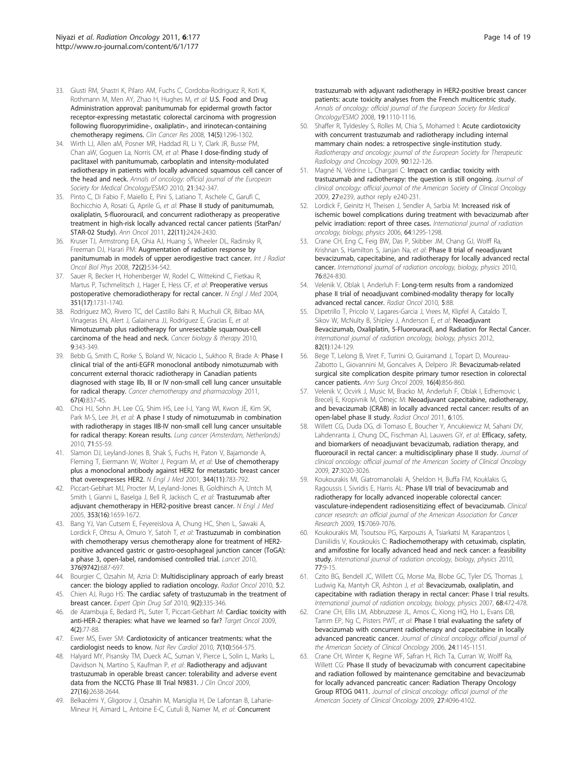- <span id="page-13-0"></span>33. Giusti RM, Shastri K, Pilaro AM, Fuchs C, Cordoba-Rodriguez R, Koti K, Rothmann M, Men AY, Zhao H, Hughes M, et al: U.S. Food and Drug Administration approval: panitumumab for epidermal growth factor receptor-expressing metastatic colorectal carcinoma with progression following fluoropyrimidine-, oxaliplatin-, and irinotecan-containing chemotherapy regimens. Clin Cancer Res 2008, 14(5):1296-1302.
- 34. Wirth LJ, Allen aM, Posner MR, Haddad RI, Li Y, Clark JR, Busse PM, Chan aW, Goguen La, Norris CM, et al: Phase I dose-finding study of paclitaxel with panitumumab, carboplatin and intensity-modulated radiotherapy in patients with locally advanced squamous cell cancer of the head and neck. Annals of oncology: official journal of the European Society for Medical Oncology/ESMO 2010, 21:342-347.
- 35. Pinto C, Di Fabio F, Maiello E, Pini S, Latiano T, Aschele C, Garufi C, Bochicchio A, Rosati G, Aprile G, et al: Phase II study of panitumumab, oxaliplatin, 5-fluorouracil, and concurrent radiotherapy as preoperative treatment in high-risk locally advanced rectal cancer patients (StarPan/ STAR-02 Study). Ann Oncol 2011, 22(11):2424-2430.
- 36. Kruser TJ, Armstrong EA, Ghia AJ, Huang S, Wheeler DL, Radinsky R, Freeman DJ, Harari PM: Augmentation of radiation response by panitumumab in models of upper aerodigestive tract cancer. Int J Radiat Oncol Biol Phys 2008, 72(2):534-542.
- 37. Sauer R, Becker H, Hohenberger W, Rodel C, Wittekind C, Fietkau R, Martus P, Tschmelitsch J, Hager E, Hess CF, et al: Preoperative versus postoperative chemoradiotherapy for rectal cancer. N Engl J Med 2004, 351(17):1731-1740.
- 38. Rodríguez MO, Rivero TC, del Castillo Bahi R, Muchuli CR, Bilbao MA, Vinageras EN, Alert J, Galainena JJ, Rodríguez E, Gracias E, et al: Nimotuzumab plus radiotherapy for unresectable squamous-cell carcinoma of the head and neck. Cancer biology & therapy 2010, 9:343-349.
- 39. Bebb G, Smith C, Rorke S, Boland W, Nicacio L, Sukhoo R, Brade A: Phase I clinical trial of the anti-EGFR monoclonal antibody nimotuzumab with concurrent external thoracic radiotherapy in Canadian patients diagnosed with stage IIb, III or IV non-small cell lung cancer unsuitable for radical therapy. Cancer chemotherapy and pharmacology 2011, 67(4):837-45.
- 40. Choi HJ, Sohn JH, Lee CG, Shim HS, Lee I-J, Yang WI, Kwon JE, Kim SK, Park M-S, Lee JH, et al: A phase I study of nimotuzumab in combination with radiotherapy in stages IIB-IV non-small cell lung cancer unsuitable for radical therapy: Korean results. Lung cancer (Amsterdam, Netherlands) 2010, 71:55-59.
- 41. Slamon DJ, Leyland-Jones B, Shak S, Fuchs H, Paton V, Bajamonde A, Fleming T, Eiermann W, Wolter J, Pegram M, et al: Use of chemotherapy plus a monoclonal antibody against HER2 for metastatic breast cancer that overexpresses HER2. N Engl J Med 2001, 344(11):783-792.
- 42. Piccart-Gebhart MJ, Procter M, Leyland-Jones B, Goldhirsch A, Untch M, Smith I, Gianni L, Baselga J, Bell R, Jackisch C, et al: Trastuzumab after adjuvant chemotherapy in HER2-positive breast cancer. N Engl J Med 2005, 353(16):1659-1672.
- 43. Bang YJ, Van Cutsem E, Feyereislova A, Chung HC, Shen L, Sawaki A, Lordick F, Ohtsu A, Omuro Y, Satoh T, et al: Trastuzumab in combination with chemotherapy versus chemotherapy alone for treatment of HER2 positive advanced gastric or gastro-oesophageal junction cancer (ToGA): a phase 3, open-label, randomised controlled trial. Lancet 2010, 376(9742):687-697.
- 44. Bourgier C, Ozsahin M, Azria D: Multidisciplinary approach of early breast cancer: the biology applied to radiation oncology. Radiat Oncol 2010, 5:2.
- 45. Chien AJ, Rugo HS: The cardiac safety of trastuzumab in the treatment of breast cancer. Expert Opin Drug Saf 2010, 9(2):335-346.
- 46. de Azambuja E, Bedard PL, Suter T, Piccart-Gebhart M: Cardiac toxicity with anti-HER-2 therapies: what have we learned so far? Target Oncol 2009, 4(2):77-88.
- 47. Ewer MS, Ewer SM: Cardiotoxicity of anticancer treatments: what the cardiologist needs to know. Nat Rev Cardiol 2010, 7(10):564-575.
- 48. Halyard MY, Pisansky TM, Dueck AC, Suman V, Pierce L, Solin L, Marks L, Davidson N, Martino S, Kaufman P, et al: Radiotherapy and adjuvant trastuzumab in operable breast cancer: tolerability and adverse event data from the NCCTG Phase III Trial N9831. J Clin Oncol 2009, 27(16):2638-2644.
- 49. Belkacémi Y, Gligorov J, Ozsahin M, Marsiglia H, De Lafontan B, Laharie-Mineur H, Aimard L, Antoine E-C, Cutuli B, Namer M, et al: Concurrent

trastuzumab with adjuvant radiotherapy in HER2-positive breast cancer patients: acute toxicity analyses from the French multicentric study. Annals of oncology: official journal of the European Society for Medical Oncology/ESMO 2008, 19:1110-1116.

- 50. Shaffer R, Tyldesley S, Rolles M, Chia S, Mohamed I: Acute cardiotoxicity with concurrent trastuzumab and radiotherapy including internal mammary chain nodes: a retrospective single-institution study. Radiotherapy and oncology: journal of the European Society for Therapeutic Radiology and Oncology 2009, 90:122-126.
- 51. Magné N, Védrine L, Chargari C: Impact on cardiac toxicity with trastuzumab and radiotherapy: the question is still ongoing. Journal of clinical oncology: official journal of the American Society of Clinical Oncology 2009, 27:e239, author reply e240-231.
- 52. Lordick F, Geinitz H, Theisen J, Sendler A, Sarbia M: Increased risk of ischemic bowel complications during treatment with bevacizumab after pelvic irradiation: report of three cases. International journal of radiation oncology, biology, physics 2006, 64:1295-1298.
- 53. Crane CH, Eng C, Feig BW, Das P, Skibber JM, Chang GJ, Wolff Ra, Krishnan S, Hamilton S, Janjan Na, et al: Phase II trial of neoadjuvant bevacizumab, capecitabine, and radiotherapy for locally advanced rectal cancer. International journal of radiation oncology, biology, physics 2010, 76:824-830.
- 54. Velenik V, Oblak I, Anderluh F: Long-term results from a randomized phase II trial of neoadjuvant combined-modality therapy for locally advanced rectal cancer. Radiat Oncol 2010, 5:88.
- 55. Dipetrillo T, Pricolo V, Lagares-Garcia J, Vrees M, Klipfel A, Cataldo T, Sikov W, McNulty B, Shipley J, Anderson E, et al: Neoadjuvant Bevacizumab, Oxaliplatin, 5-Fluorouracil, and Radiation for Rectal Cancer. International journal of radiation oncology, biology, physics 2012, 82(1):124-129.
- 56. Bege T, Lelong B, Viret F, Turrini O, Guiramand J, Topart D, Moureau-Zabotto L, Giovannini M, Goncalves A, Delpero JR: Bevacizumab-related surgical site complication despite primary tumor resection in colorectal cancer patients. Ann Surg Oncol 2009, 16(4):856-860.
- 57. Velenik V, Ocvirk J, Music M, Bracko M, Anderluh F, Oblak I, Edhemovic I, Brecelj E, Kropivnik M, Omejc M: Neoadjuvant capecitabine, radiotherapy, and bevacizumab (CRAB) in locally advanced rectal cancer: results of an open-label phase II study. Radiat Oncol 2011, 6:105.
- 58. Willett CG, Duda DG, di Tomaso E, Boucher Y, Ancukiewicz M, Sahani DV, Lahdenranta J, Chung DC, Fischman AJ, Lauwers GY, et al: Efficacy, safety, and biomarkers of neoadjuvant bevacizumab, radiation therapy, and fluorouracil in rectal cancer: a multidisciplinary phase II study. Journal of clinical oncology: official journal of the American Society of Clinical Oncology 2009, 27:3020-3026.
- 59. Koukourakis MI, Giatromanolaki A, Sheldon H, Buffa FM, Kouklakis G, Ragoussis I, Sivridis E, Harris AL: Phase I/II trial of bevacizumab and radiotherapy for locally advanced inoperable colorectal cancer: vasculature-independent radiosensitizing effect of bevacizumab. Clinical cancer research: an official journal of the American Association for Cancer Research 2009, 15:7069-7076.
- 60. Koukourakis MI, Tsoutsou PG, Karpouzis A, Tsiarkatsi M, Karapantzos I, Daniilidis V, Kouskoukis C: Radiochemotherapy with cetuximab, cisplatin, and amifostine for locally advanced head and neck cancer: a feasibility study. International journal of radiation oncology, biology, physics 2010, 77:9-15.
- 61. Czito BG, Bendell JC, Willett CG, Morse Ma, Blobe GC, Tyler DS, Thomas J, Ludwig Ka, Mantyh CR, Ashton J, et al: Bevacizumab, oxaliplatin, and capecitabine with radiation therapy in rectal cancer: Phase I trial results. International journal of radiation oncology, biology, physics 2007, 68:472-478.
- 62. Crane CH, Ellis LM, Abbruzzese JL, Amos C, Xiong HQ, Ho L, Evans DB, Tamm EP, Ng C, Pisters PWT, et al: Phase I trial evaluating the safety of bevacizumab with concurrent radiotherapy and capecitabine in locally advanced pancreatic cancer. Journal of clinical oncology: official journal of the American Society of Clinical Oncology 2006, 24:1145-1151.
- 63. Crane CH, Winter K, Regine WF, Safran H, Rich Ta, Curran W, Wolff Ra, Willett CG: Phase II study of bevacizumab with concurrent capecitabine and radiation followed by maintenance gemcitabine and bevacizumab for locally advanced pancreatic cancer: Radiation Therapy Oncology Group RTOG 0411. Journal of clinical oncology: official journal of the American Society of Clinical Oncology 2009, 27:4096-4102.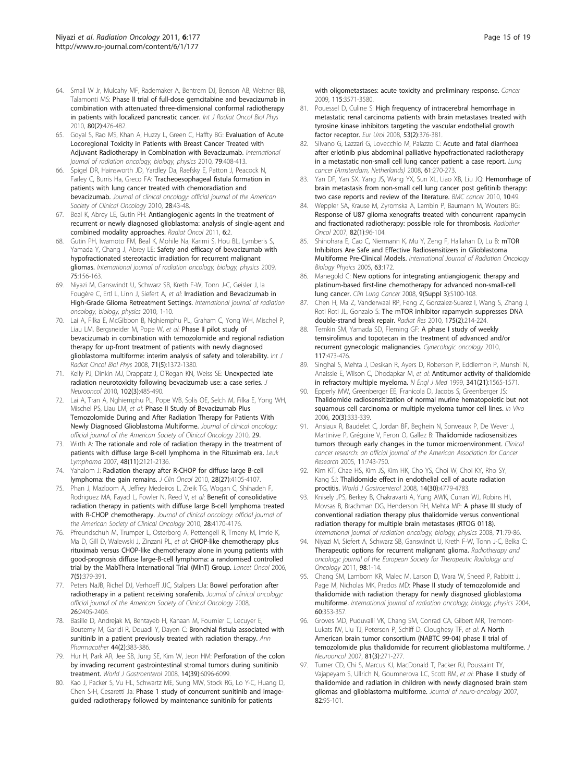- <span id="page-14-0"></span>64. Small W Jr, Mulcahy MF, Rademaker A, Bentrem DJ, Benson AB, Weitner BB, Talamonti MS: Phase II trial of full-dose gemcitabine and bevacizumab in combination with attenuated three-dimensional conformal radiotherapy in patients with localized pancreatic cancer. Int J Radiat Oncol Biol Phys 2010, 80(2):476-482.
- 65. Goyal S, Rao MS, Khan A, Huzzy L, Green C, Haffty BG: Evaluation of Acute Locoregional Toxicity in Patients with Breast Cancer Treated with Adjuvant Radiotherapy in Combination with Bevacizumab. International journal of radiation oncology, biology, physics 2010, 79:408-413.
- 66. Spigel DR, Hainsworth JD, Yardley Da, Raefsky E, Patton J, Peacock N, Farley C, Burris Ha, Greco FA: Tracheoesophageal fistula formation in patients with lung cancer treated with chemoradiation and bevacizumab. Journal of clinical oncology: official journal of the American Society of Clinical Oncology 2010, 28:43-48.
- 67. Beal K, Abrey LE, Gutin PH: Antiangiogenic agents in the treatment of recurrent or newly diagnosed glioblastoma: analysis of single-agent and combined modality approaches. Radiat Oncol 2011, 6:2.
- 68. Gutin PH, Iwamoto FM, Beal K, Mohile Na, Karimi S, Hou BL, Lymberis S, Yamada Y, Chang J, Abrey LE: Safety and efficacy of bevacizumab with hypofractionated stereotactic irradiation for recurrent malignant gliomas. International journal of radiation oncology, biology, physics 2009, 75:156-163.
- 69. Niyazi M, Ganswindt U, Schwarz SB, Kreth F-W, Tonn J-C, Geisler J, la Fougère C, Ertl L, Linn J, Siefert A, et al: Irradiation and Bevacizumab in High-Grade Glioma Retreatment Settings. International journal of radiation oncology, biology, physics 2010, 1-10.
- 70. Lai A, Filka E, McGibbon B, Nghiemphu PL, Graham C, Yong WH, Mischel P, Liau LM, Bergsneider M, Pope W, et al: Phase II pilot study of bevacizumab in combination with temozolomide and regional radiation therapy for up-front treatment of patients with newly diagnosed glioblastoma multiforme: interim analysis of safety and tolerability. Int J Radiat Oncol Biol Phys 2008, 71(5):1372-1380.
- 71. Kelly PJ, Dinkin MJ, Drappatz J, O'Regan KN, Weiss SE: Unexpected late radiation neurotoxicity following bevacizumab use: a case series. J Neurooncol 2010, 102(3):485-490.
- 72. Lai A, Tran A, Nghiemphu PL, Pope WB, Solis OE, Selch M, Filka E, Yong WH, Mischel PS, Liau LM, et al: Phase II Study of Bevacizumab Plus Temozolomide During and After Radiation Therapy for Patients With Newly Diagnosed Glioblastoma Multiforme. Journal of clinical oncology: official journal of the American Society of Clinical Oncology 2010, 29.
- 73. Wirth A: The rationale and role of radiation therapy in the treatment of patients with diffuse large B-cell lymphoma in the Rituximab era. Leuk Lymphoma 2007, 48(11):2121-2136.
- 74. Yahalom J: Radiation therapy after R-CHOP for diffuse large B-cell lymphoma: the gain remains. J Clin Oncol 2010, 28(27):4105-4107.
- 75. Phan J, Mazloom A, Jeffrey Medeiros L, Zreik TG, Wogan C, Shihadeh F, Rodriguez MA, Fayad L, Fowler N, Reed V, et al: Benefit of consolidative radiation therapy in patients with diffuse large B-cell lymphoma treated with R-CHOP chemotherapy. Journal of clinical oncology: official journal of the American Society of Clinical Oncology 2010, 28:4170-4176.
- 76. Pfreundschuh M, Trumper L, Osterborg A, Pettengell R, Trneny M, Imrie K, Ma D, Gill D, Walewski J, Zinzani PL, et al: CHOP-like chemotherapy plus rituximab versus CHOP-like chemotherapy alone in young patients with good-prognosis diffuse large-B-cell lymphoma: a randomised controlled trial by the MabThera International Trial (MInT) Group. Lancet Oncol 2006, 7(5):379-391.
- 77. Peters NaJB, Richel DJ, Verhoeff JJC, Stalpers LJa: Bowel perforation after radiotherapy in a patient receiving sorafenib. Journal of clinical oncology: official journal of the American Society of Clinical Oncology 2008, 26:2405-2406.
- 78. Basille D, Andrejak M, Bentayeb H, Kanaan M, Fournier C, Lecuyer E, Boutemy M, Garidi R, Douadi Y, Dayen C: Bronchial fistula associated with sunitinib in a patient previously treated with radiation therapy. Ann Pharmacother 44(2):383-386.
- 79. Hur H, Park AR, Jee SB, Jung SE, Kim W, Jeon HM: Perforation of the colon by invading recurrent gastrointestinal stromal tumors during sunitinib treatment. World J Gastroenterol 2008, 14(39):6096-6099.
- Kao J, Packer S, Vu HL, Schwartz ME, Sung MW, Stock RG, Lo Y-C, Huang D, Chen S-H, Cesaretti Ja: Phase 1 study of concurrent sunitinib and imageguided radiotherapy followed by maintenance sunitinib for patients

with oligometastases: acute toxicity and preliminary response. Cancer 2009, 115:3571-3580.

- 81. Pouessel D, Culine S: High frequency of intracerebral hemorrhage in metastatic renal carcinoma patients with brain metastases treated with tyrosine kinase inhibitors targeting the vascular endothelial growth factor receptor. Eur Urol 2008, 53(2):376-381.
- 82. Silvano G, Lazzari G, Lovecchio M, Palazzo C: Acute and fatal diarrhoea after erlotinib plus abdominal palliative hypofractionated radiotherapy in a metastatic non-small cell lung cancer patient: a case report. Lung cancer (Amsterdam, Netherlands) 2008, 61:270-273.
- 83. Yan DF, Yan SX, Yang JS, Wang YX, Sun XL, Liao XB, Liu JQ: Hemorrhage of brain metastasis from non-small cell lung cancer post gefitinib therapy: two case reports and review of the literature. BMC cancer 2010, 10:49.
- 84. Weppler SA, Krause M, Zyromska A, Lambin P, Baumann M, Wouters BG: Response of U87 glioma xenografts treated with concurrent rapamycin and fractionated radiotherapy: possible role for thrombosis. Radiother Oncol 2007, 82(1):96-104.
- 85. Shinohara E, Cao C, Niermann K, Mu Y, Zeng F, Hallahan D, Lu B: mTOR Inhibitors Are Safe and Effective Radiosensitizers in Glioblastoma Multiforme Pre-Clinical Models. International Journal of Radiation Oncology Biology Physics 2005, 63:172.
- 86. Manegold C: New options for integrating antiangiogenic therapy and platinum-based first-line chemotherapy for advanced non-small-cell lung cancer. Clin Lung Cancer 2008, 9(Suppl 3):S100-108.
- 87. Chen H, Ma Z, Vanderwaal RP, Feng Z, Gonzalez-Suarez I, Wang S, Zhang J, Roti Roti JL, Gonzalo S: The mTOR inhibitor rapamycin suppresses DNA double-strand break repair. Radiat Res 2010, 175(2):214-224.
- 88. Temkin SM, Yamada SD, Fleming GF: A phase I study of weekly temsirolimus and topotecan in the treatment of advanced and/or recurrent gynecologic malignancies. Gynecologic oncology 2010, 117:473-476.
- 89. Singhal S, Mehta J, Desikan R, Ayers D, Roberson P, Eddlemon P, Munshi N, Anaissie F, Wilson C, Dhodapkar M, et al: **Antitumor activity of thalidomide** in refractory multiple myeloma. N Engl J Med 1999, 341(21):1565-1571.
- 90. Epperly MW, Greenberger EE, Franicola D, Jacobs S, Greenberger JS: Thalidomide radiosensitization of normal murine hematopoietic but not squamous cell carcinoma or multiple myeloma tumor cell lines. In Vivo 2006, 20(3):333-339.
- 91. Ansiaux R, Baudelet C, Jordan BF, Beghein N, Sonveaux P, De Wever J, Martinive P, Grégoire V, Feron O, Gallez B: Thalidomide radiosensitizes tumors through early changes in the tumor microenvironment. Clinical cancer research: an official journal of the American Association for Cancer Research 2005, 11:743-750.
- 92. Kim KT, Chae HS, Kim JS, Kim HK, Cho YS, Choi W, Choi KY, Rho SY, Kang SJ: Thalidomide effect in endothelial cell of acute radiation proctitis. World J Gastroenterol 2008, 14(30):4779-4783.
- 93. Knisely JPS, Berkey B, Chakravarti A, Yung AWK, Curran WJ, Robins HI, Movsas B, Brachman DG, Henderson RH, Mehta MP: A phase III study of conventional radiation therapy plus thalidomide versus conventional radiation therapy for multiple brain metastases (RTOG 0118). International journal of radiation oncology, biology, physics 2008, 71:79-86.
- 94. Niyazi M, Siefert A, Schwarz SB, Ganswindt U, Kreth F-W, Tonn J-C, Belka C: Therapeutic options for recurrent malignant glioma. Radiotherapy and oncology: journal of the European Society for Therapeutic Radiology and Oncology 2011, 98:1-14.
- 95. Chang SM, Lamborn KR, Malec M, Larson D, Wara W, Sneed P, Rabbitt J, Page M, Nicholas MK, Prados MD: Phase II study of temozolomide and thalidomide with radiation therapy for newly diagnosed glioblastoma multiforme. International journal of radiation oncology, biology, physics 2004, 60:353-357.
- 96. Groves MD, Puduvalli VK, Chang SM, Conrad CA, Gilbert MR, Tremont-Lukats IW, Liu TJ, Peterson P, Schiff D, Cloughesy TF, et al: A North American brain tumor consortium (NABTC 99-04) phase II trial of temozolomide plus thalidomide for recurrent glioblastoma multiforme. J Neurooncol 2007, 81(3):271-277.
- 97. Turner CD, Chi S, Marcus KJ, MacDonald T, Packer RJ, Poussaint TY, Vajapeyam S, Ullrich N, Goumnerova LC, Scott RM, et al: Phase II study of thalidomide and radiation in children with newly diagnosed brain stem gliomas and glioblastoma multiforme. Journal of neuro-oncology 2007, 82:95-101.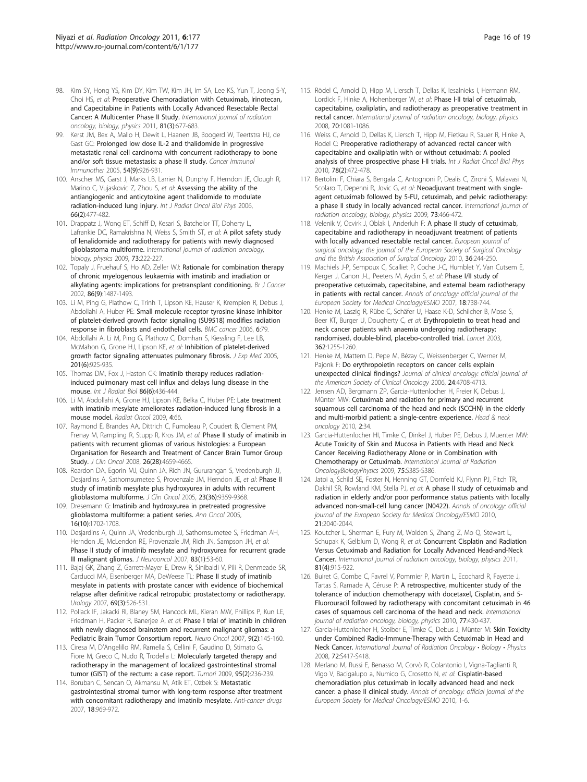- <span id="page-15-0"></span>98. Kim SY, Hong YS, Kim DY, Kim TW, Kim JH, Im SA, Lee KS, Yun T, Jeong S-Y, Choi HS, et al: Preoperative Chemoradiation with Cetuximab, Irinotecan, and Capecitabine in Patients with Locally Advanced Resectable Rectal Cancer: A Multicenter Phase II Study. International journal of radiation oncology, biology, physics 2011, 81(3):677-683.
- 99. Kerst JM, Bex A, Mallo H, Dewit L, Haanen JB, Boogerd W, Teertstra HJ, de Gast GC: Prolonged low dose IL-2 and thalidomide in progressive metastatic renal cell carcinoma with concurrent radiotherapy to bone and/or soft tissue metastasis: a phase II study. Cancer Immunol Immunother 2005, 54(9):926-931.
- 100. Anscher MS, Garst J, Marks LB, Larrier N, Dunphy F, Herndon JE, Clough R, Marino C, Vujaskovic Z, Zhou S, et al: Assessing the ability of the antiangiogenic and anticytokine agent thalidomide to modulate radiation-induced lung injury. Int J Radiat Oncol Biol Phys 2006, 66(2):477-482.
- 101. Drappatz J, Wong ET, Schiff D, Kesari S, Batchelor TT, Doherty L, Lafrankie DC, Ramakrishna N, Weiss S, Smith ST, et al: A pilot safety study of lenalidomide and radiotherapy for patients with newly diagnosed glioblastoma multiforme. International journal of radiation oncology, biology, physics 2009, 73:222-227.
- 102. Topaly J, Fruehauf S, Ho AD, Zeller WJ: Rationale for combination therapy of chronic myelogenous leukaemia with imatinib and irradiation or alkylating agents: implications for pretransplant conditioning. Br J Cancer 2002, 86(9):1487-1493.
- 103. Li M, Ping G, Plathow C, Trinh T, Lipson KE, Hauser K, Krempien R, Debus J, Abdollahi A, Huber PE: Small molecule receptor tyrosine kinase inhibitor of platelet-derived growth factor signaling (SU9518) modifies radiation response in fibroblasts and endothelial cells. BMC cancer 2006, 6:79.
- 104. Abdollahi A, Li M, Ping G, Plathow C, Domhan S, Kiessling F, Lee LB, McMahon G, Grone HJ, Lipson KE, et al: Inhibition of platelet-derived growth factor signaling attenuates pulmonary fibrosis. J Exp Med 2005, 201(6):925-935.
- 105. Thomas DM, Fox J, Haston CK: Imatinib therapy reduces radiationinduced pulmonary mast cell influx and delays lung disease in the mouse. Int J Radiat Biol 86(6):436-444.
- 106. Li M, Abdollahi A, Grone HJ, Lipson KE, Belka C, Huber PE: Late treatment with imatinib mesylate ameliorates radiation-induced lung fibrosis in a mouse model. Radiat Oncol 2009, 4:66.
- 107. Raymond E, Brandes AA, Dittrich C, Fumoleau P, Coudert B, Clement PM, Frenay M, Rampling R, Stupp R, Kros JM, et al: Phase II study of imatinib in patients with recurrent gliomas of various histologies: a European Organisation for Research and Treatment of Cancer Brain Tumor Group Study. J Clin Oncol 2008, 26(28):4659-4665.
- 108. Reardon DA, Egorin MJ, Quinn JA, Rich JN, Gururangan S, Vredenburgh JJ, Desjardins A, Sathornsumetee S, Provenzale JM, Herndon JE, et al: Phase II study of imatinib mesylate plus hydroxyurea in adults with recurrent glioblastoma multiforme. J Clin Oncol 2005, 23(36):9359-9368.
- 109. Dresemann G: Imatinib and hydroxyurea in pretreated progressive glioblastoma multiforme: a patient series. Ann Oncol 2005, 16(10):1702-1708.
- 110. Desjardins A, Quinn JA, Vredenburgh JJ, Sathornsumetee S, Friedman AH, Herndon JE, McLendon RE, Provenzale JM, Rich JN, Sampson JH, et al: Phase II study of imatinib mesylate and hydroxyurea for recurrent grade III malignant gliomas. J Neurooncol 2007, 83(1):53-60.
- 111. Bajaj GK, Zhang Z, Garrett-Mayer E, Drew R, Sinibaldi V, Pili R, Denmeade SR, Carducci MA, Eisenberger MA, DeWeese TL: Phase II study of imatinib mesylate in patients with prostate cancer with evidence of biochemical relapse after definitive radical retropubic prostatectomy or radiotherapy. Urology 2007, 69(3):526-531.
- 112. Pollack IF, Jakacki RI, Blaney SM, Hancock ML, Kieran MW, Phillips P, Kun LE, Friedman H, Packer R, Banerjee A, et al: Phase I trial of imatinib in children with newly diagnosed brainstem and recurrent malignant gliomas: a Pediatric Brain Tumor Consortium report. Neuro Oncol 2007, 9(2):145-160.
- 113. Ciresa M, D'Angelillo RM, Ramella S, Cellini F, Gaudino D, Stimato G, Fiore M, Greco C, Nudo R, Trodella L: Molecularly targeted therapy and radiotherapy in the management of localized gastrointestinal stromal tumor (GIST) of the rectum: a case report. Tumori 2009, 95(2):236-239.
- 114. Boruban C, Sencan O, Akmansu M, Atik ET, Ozbek S: Metastatic gastrointestinal stromal tumor with long-term response after treatment with concomitant radiotherapy and imatinib mesylate. Anti-cancer drugs 2007, 18:969-972.
- 115. Rödel C, Arnold D, Hipp M, Liersch T, Dellas K, Iesalnieks I, Hermann RM, Lordick F, Hinke A, Hohenberger W, et al: Phase I-II trial of cetuximab, capecitabine, oxaliplatin, and radiotherapy as preoperative treatment in rectal cancer. International journal of radiation oncology, biology, physics 2008, 70:1081-1086.
- 116. Weiss C, Arnold D, Dellas K, Liersch T, Hipp M, Fietkau R, Sauer R, Hinke A, Rodel C: Preoperative radiotherapy of advanced rectal cancer with capecitabine and oxaliplatin with or without cetuximab: A pooled analysis of three prospective phase I-II trials. Int J Radiat Oncol Biol Phys 2010, 78(2):472-478.
- 117. Bertolini F, Chiara S, Bengala C, Antognoni P, Dealis C, Zironi S, Malavasi N, Scolaro T, Depenni R, Jovic G, et al: Neoadjuvant treatment with singleagent cetuximab followed by 5-FU, cetuximab, and pelvic radiotherapy: a phase II study in locally advanced rectal cancer. International journal of radiation oncology, biology, physics 2009, 73:466-472.
- 118. Velenik V, Ocvirk J, Oblak I, Anderluh F: A phase II study of cetuximab, capecitabine and radiotherapy in neoadjuvant treatment of patients with locally advanced resectable rectal cancer. European journal of surgical oncology: the journal of the European Society of Surgical Oncology and the British Association of Surgical Oncology 2010, 36:244-250.
- 119. Machiels J-P, Sempoux C, Scalliet P, Coche J-C, Humblet Y, Van Cutsem E, Kerger J, Canon J-L, Peeters M, Aydin S, et al: Phase I/II study of preoperative cetuximab, capecitabine, and external beam radiotherapy in patients with rectal cancer. Annals of oncology: official journal of the European Society for Medical Oncology/ESMO 2007, 18:738-744.
- 120. Henke M, Laszig R, Rübe C, Schäfer U, Haase K-D, Schilcher B, Mose S, Beer KT, Burger U, Dougherty C, et al: Erythropoietin to treat head and neck cancer patients with anaemia undergoing radiotherapy: randomised, double-blind, placebo-controlled trial. Lancet 2003, 362:1255-1260.
- 121. Henke M, Mattern D, Pepe M, Bézay C, Weissenberger C, Werner M, Pajonk F: Do erythropoietin receptors on cancer cells explain unexpected clinical findings? Journal of clinical oncology: official journal of the American Society of Clinical Oncology 2006, 24:4708-4713.
- 122. Jensen AD, Bergmann ZP, Garcia-Huttenlocher H, Freier K, Debus J, Münter MW: Cetuximab and radiation for primary and recurrent squamous cell carcinoma of the head and neck (SCCHN) in the elderly and multi-morbid patient: a single-centre experience. Head & neck oncology 2010, 2:34.
- 123. Garcia-Huttenlocher HI, Timke C, Dinkel J, Huber PE, Debus J, Muenter MW: Acute Toxicity of Skin and Mucosa in Patients with Head and Neck Cancer Receiving Radiotherapy Alone or in Combination with Chemotherapy or Cetuximab. International Journal of Radiation OncologyBiologyPhysics 2009, 75:S385-S386.
- 124. Jatoi a, Schild SE, Foster N, Henning GT, Dornfeld KJ, Flynn PJ, Fitch TR, Dakhil SR, Rowland KM, Stella PJ, et al: A phase II study of cetuximab and radiation in elderly and/or poor performance status patients with locally advanced non-small-cell lung cancer (N0422). Annals of oncology: official journal of the European Society for Medical Oncology/ESMO 2010, 21:2040-2044.
- 125. Koutcher L, Sherman E, Fury M, Wolden S, Zhang Z, Mo Q, Stewart L, Schupak K, Gelblum D, Wong R, et al: Concurrent Cisplatin and Radiation Versus Cetuximab and Radiation for Locally Advanced Head-and-Neck Cancer. International journal of radiation oncology, biology, physics 2011, 81(4):915-922.
- 126. Buiret G, Combe C, Favrel V, Pommier P, Martin L, Ecochard R, Fayette J, Tartas S, Ramade A, Céruse P: A retrospective, multicenter study of the tolerance of induction chemotherapy with docetaxel, Cisplatin, and 5- Fluorouracil followed by radiotherapy with concomitant cetuximab in 46 cases of squamous cell carcinoma of the head and neck. International journal of radiation oncology, biology, physics 2010, 77:430-437.
- 127. Garcia-Huttenlocher H, Stoiber E, Timke C, Debus J, Münter M: Skin Toxicity under Combined Radio-Immune-Therapy with Cetuximab in Head and Neck Cancer. International Journal of Radiation Oncology • Biology • Physics 2008, 72:S417-S418.
- 128. Merlano M, Russi E, Benasso M, Corvò R, Colantonio I, Vigna-Taglianti R, Vigo V, Bacigalupo a, Numico G, Crosetto N, et al: Cisplatin-based chemoradiation plus cetuximab in locally advanced head and neck cancer: a phase II clinical study. Annals of oncology: official journal of the European Society for Medical Oncology/ESMO 2010, 1-6.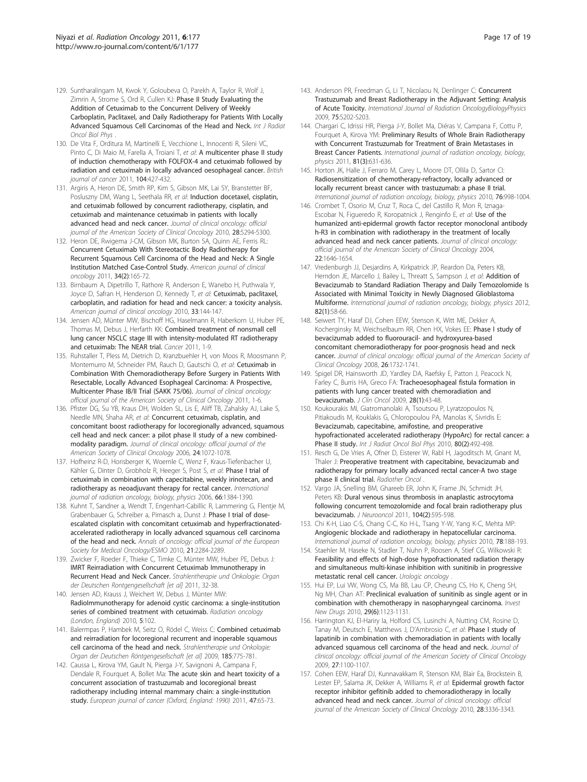- <span id="page-16-0"></span>129. Suntharalingam M, Kwok Y, Goloubeva O, Parekh A, Taylor R, Wolf J, Zimrin A, Strome S, Ord R, Cullen KJ: Phase II Study Evaluating the Addition of Cetuximab to the Concurrent Delivery of Weekly Carboplatin, Paclitaxel, and Daily Radiotherapy for Patients With Locally Advanced Squamous Cell Carcinomas of the Head and Neck. Int J Radiat Oncol Biol Phys .
- 130. De Vita F, Orditura M, Martinelli E, Vecchione L, Innocenti R, Sileni VC, Pinto C, Di Maio M, Farella A, Troiani T, et al: A multicenter phase II study of induction chemotherapy with FOLFOX-4 and cetuximab followed by radiation and cetuximab in locally advanced oesophageal cancer. British journal of cancer 2011, 104:427-432.
- 131. Argiris A, Heron DE, Smith RP, Kim S, Gibson MK, Lai SY, Branstetter BF, Posluszny DM, Wang L, Seethala RR, et al: Induction docetaxel, cisplatin, and cetuximab followed by concurrent radiotherapy, cisplatin, and cetuximab and maintenance cetuximab in patients with locally advanced head and neck cancer. Journal of clinical oncology: official journal of the American Society of Clinical Oncology 2010, 28:5294-5300.
- 132. Heron DE, Rwigema J-CM, Gibson MK, Burton SA, Quinn AE, Ferris RL: Concurrent Cetuximab With Stereotactic Body Radiotherapy for Recurrent Squamous Cell Carcinoma of the Head and Neck: A Single Institution Matched Case-Control Study. American journal of clinical oncology 2011, 34(2):165-72.
- 133. Birnbaum A, Dipetrillo T, Rathore R, Anderson E, Wanebo H, Puthwala Y, Joyce D, Safran H, Henderson D, Kennedy T, et al: Cetuximab, paclitaxel, carboplatin, and radiation for head and neck cancer: a toxicity analysis. American journal of clinical oncology 2010, 33:144-147.
- 134. Jensen AD, Münter MW, Bischoff HG, Haselmann R, Haberkorn U, Huber PE, Thomas M, Debus J, Herfarth KK: Combined treatment of nonsmall cell lung cancer NSCLC stage III with intensity-modulated RT radiotherapy and cetuximab: The NEAR trial. Cancer 2011, 1-9.
- 135. Ruhstaller T, Pless M, Dietrich D, Kranzbuehler H, von Moos R, Moosmann P, Montemurro M, Schneider PM, Rauch D, Gautschi O, et al: Cetuximab in Combination With Chemoradiotherapy Before Surgery in Patients With Resectable, Locally Advanced Esophageal Carcinoma: A Prospective, Multicenter Phase IB/II Trial (SAKK 75/06). Journal of clinical oncology: official journal of the American Society of Clinical Oncology 2011, 1-6.
- 136. Pfister DG, Su YB, Kraus DH, Wolden SL, Lis E, Aliff TB, Zahalsky AJ, Lake S, Needle MN, Shaha AR, et al: Concurrent cetuximab, cisplatin, and concomitant boost radiotherapy for locoregionally advanced, squamous cell head and neck cancer: a pilot phase II study of a new combinedmodality paradigm. Journal of clinical oncology: official journal of the American Society of Clinical Oncology 2006, 24:1072-1078.
- 137. Hofheinz R-D, Horisberger K, Woernle C, Wenz F, Kraus-Tiefenbacher U, Kähler G, Dinter D, Grobholz R, Heeger S, Post S, et al: Phase I trial of cetuximab in combination with capecitabine, weekly irinotecan, and radiotherapy as neoadjuvant therapy for rectal cancer. International journal of radiation oncology, biology, physics 2006, 66:1384-1390.
- 138. Kuhnt T, Sandner a, Wendt T, Engenhart-Cabillic R, Lammering G, Flentje M, Grabenbauer G, Schreiber a, Pirnasch a, Dunst J: Phase I trial of doseescalated cisplatin with concomitant cetuximab and hyperfractionatedaccelerated radiotherapy in locally advanced squamous cell carcinoma of the head and neck. Annals of oncology: official journal of the European Society for Medical Oncology/ESMO 2010, 21:2284-2289.
- 139. Zwicker F, Roeder F, Thieke C, Timke C, Münter MW, Huber PE, Debus J: IMRT Reirradiation with Concurrent Cetuximab Immunotherapy in Recurrent Head and Neck Cancer. Strahlentherapie und Onkologie: Organ der Deutschen Rontgengesellschaft [et al] 2011, 32-38.
- 140. Jensen AD, Krauss J, Weichert W, Debus J, Münter MW: RadioImmunotherapy for adenoid cystic carcinoma: a single-institution series of combined treatment with cetuximab. Radiation oncology (London, England) 2010, 5:102.
- 141. Balermpas P, Hambek M, Seitz O, Rödel C, Weiss C: Combined cetuximab and reirradiation for locoregional recurrent and inoperable squamous cell carcinoma of the head and neck. Strahlentherapie und Onkologie: Organ der Deutschen Röntgengesellschaft [et al] 2009, 185:775-781.
- 142. Caussa L, Kirova YM, Gault N, Pierga J-Y, Savignoni A, Campana F, Dendale R, Fourquet A, Bollet Ma: The acute skin and heart toxicity of a concurrent association of trastuzumab and locoregional breast radiotherapy including internal mammary chain: a single-institution study. European journal of cancer (Oxford, England: 1990) 2011, 47:65-73.
- 143. Anderson PR, Freedman G, Li T, Nicolaou N, Denlinger C: Concurrent Trastuzumab and Breast Radiotherapy in the Adjuvant Setting: Analysis of Acute Toxicity. International Journal of Radiation OncologyBiologyPhysics 2009, 75:S202-S203.
- 144. Chargari C, Idrissi HR, Pierga J-Y, Bollet Ma, Diéras V, Campana F, Cottu P, Fourquet A, Kirova YM: Preliminary Results of Whole Brain Radiotherapy with Concurrent Trastuzumab for Treatment of Brain Metastases in Breast Cancer Patients. International journal of radiation oncology, biology, physics 2011, 81(3):631-636.
- 145. Horton JK, Halle J, Ferraro M, Carey L, Moore DT, Ollila D, Sartor CI: Radiosensitization of chemotherapy-refractory, locally advanced or locally recurrent breast cancer with trastuzumab: a phase II trial. International journal of radiation oncology, biology, physics 2010, 76:998-1004.
- 146. Crombet T, Osorio M, Cruz T, Roca C, del Castillo R, Mon R, Iznaga-Escobar N, Figueredo R, Koropatnick J, Renginfo E, et al: Use of the humanized anti-epidermal growth factor receptor monoclonal antibody h-R3 in combination with radiotherapy in the treatment of locally advanced head and neck cancer patients. Journal of clinical oncology: official journal of the American Society of Clinical Oncology 2004, 22:1646-1654.
- 147. Vredenburgh JJ, Desjardins A, Kirkpatrick JP, Reardon Da, Peters KB, Herndon JE, Marcello J, Bailey L, Threatt S, Sampson J, et al: Addition of Bevacizumab to Standard Radiation Therapy and Daily Temozolomide Is Associated with Minimal Toxicity in Newly Diagnosed Glioblastoma Multiforme. International journal of radiation oncology, biology, physics 2012, 82(1):58-66.
- 148. Seiwert TY, Haraf DJ, Cohen EEW, Stenson K, Witt ME, Dekker A, Kocherginsky M, Weichselbaum RR, Chen HX, Vokes EE: Phase I study of bevacizumab added to fluorouracil- and hydroxyurea-based concomitant chemoradiotherapy for poor-prognosis head and neck cancer. Journal of clinical oncology: official journal of the American Society of Clinical Oncology 2008, 26:1732-1741.
- 149. Spigel DR, Hainsworth JD, Yardley DA, Raefsky E, Patton J, Peacock N, Farley C, Burris HA, Greco FA: Tracheoesophageal fistula formation in patients with lung cancer treated with chemoradiation and bevacizumab. J Clin Oncol 2009, 28(1):43-48.
- 150. Koukourakis MI, Giatromanolaki A, Tsoutsou P, Lyratzopoulos N, Pitiakoudis M, Kouklakis G, Chloropoulou PA, Manolas K, Sivridis E: Bevacizumab, capecitabine, amifostine, and preoperative hypofractionated accelerated radiotherapy (HypoArc) for rectal cancer: a Phase II study. Int J Radiat Oncol Biol Phys 2010, 80(2):492-498.
- 151. Resch G, De Vries A, Ofner D, Eisterer W, Rabl H, Jagoditsch M, Gnant M, Thaler J: Preoperative treatment with capecitabine, bevacizumab and radiotherapy for primary locally advanced rectal cancer-A two stage phase II clinical trial. Radiother Oncol
- 152. Vargo JA, Snelling BM, Ghareeb ER, John K, Frame JN, Schmidt JH, Peters KB: Dural venous sinus thrombosis in anaplastic astrocytoma following concurrent temozolomide and focal brain radiotherapy plus bevacizumab. J Neurooncol 2011, 104(2):595-598.
- 153. Chi K-H, Liao C-S, Chang C-C, Ko H-L, Tsang Y-W, Yang K-C, Mehta MP: Angiogenic blockade and radiotherapy in hepatocellular carcinoma. International journal of radiation oncology, biology, physics 2010, 78:188-193.
- 154. Staehler M, Haseke N, Stadler T, Nuhn P, Roosen A, Stief CG, Wilkowski R: Feasibility and effects of high-dose hypofractionated radiation therapy and simultaneous multi-kinase inhibition with sunitinib in progressive metastatic renal cell cancer. Urologic oncology .
- 155. Hui EP, Lui VW, Wong CS, Ma BB, Lau CP, Cheung CS, Ho K, Cheng SH, Ng MH, Chan AT: Preclinical evaluation of sunitinib as single agent or in combination with chemotherapy in nasopharyngeal carcinoma. Invest New Drugs 2010, 29(6):1123-1131.
- 156. Harrington KJ, El-Hariry Ia, Holford CS, Lusinchi A, Nutting CM, Rosine D, Tanay M, Deutsch E, Matthews J, D'Ambrosio C, et al: Phase I study of lapatinib in combination with chemoradiation in patients with locally advanced squamous cell carcinoma of the head and neck. Journal of clinical oncology: official journal of the American Society of Clinical Oncology 2009, 27:1100-1107.
- 157. Cohen EEW, Haraf DJ, Kunnavakkam R, Stenson KM, Blair Ea, Brockstein B, Lester EP, Salama JK, Dekker A, Williams R, et al: Epidermal growth factor receptor inhibitor gefitinib added to chemoradiotherapy in locally advanced head and neck cancer. Journal of clinical oncology: official journal of the American Society of Clinical Oncology 2010, 28:3336-3343.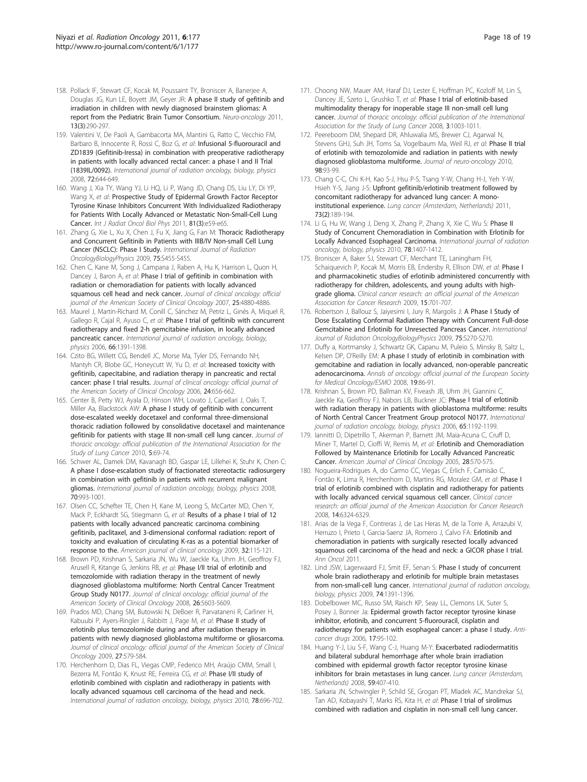- <span id="page-17-0"></span>158. Pollack IF, Stewart CF, Kocak M, Poussaint TY, Broniscer A, Banerjee A, Douglas JG, Kun LE, Boyett JM, Geyer JR: A phase II study of gefitinib and irradiation in children with newly diagnosed brainstem gliomas: A report from the Pediatric Brain Tumor Consortium. Neuro-oncology 2011, 13(3):290-297.
- 159. Valentini V, De Paoli A, Gambacorta MA, Mantini G, Ratto C, Vecchio FM, Barbaro B, Innocente R, Rossi C, Boz G, et al: Infusional 5-fluorouracil and ZD1839 (Gefitinib-Iressa) in combination with preoperative radiotherapy in patients with locally advanced rectal cancer: a phase I and II Trial (1839IL/0092). International journal of radiation oncology, biology, physics 2008, 72:644-649.
- 160. Wang J, Xia TY, Wang YJ, Li HQ, Li P, Wang JD, Chang DS, Liu LY, Di YP, Wang X, et al: Prospective Study of Epidermal Growth Factor Receptor Tyrosine Kinase Inhibitors Concurrent With Individualized Radiotherapy for Patients With Locally Advanced or Metastatic Non-Small-Cell Lung Cancer. Int J Radiat Oncol Biol Phys 2011, 81(3):e59-e65.
- 161. Zhang G, Xie L, Xu X, Chen J, Fu X, Jiang G, Fan M: Thoracic Radiotherapy and Concurrent Gefitinib in Patients with IIIB/IV Non-small Cell Lung Cancer (NSCLC): Phase I Study. International Journal of Radiation OncologyBiologyPhysics 2009, 75:S455-S455.
- 162. Chen C, Kane M, Song J, Campana J, Raben A, Hu K, Harrison L, Quon H, Dancey J, Baron A, et al: Phase I trial of gefitinib in combination with radiation or chemoradiation for patients with locally advanced squamous cell head and neck cancer. Journal of clinical oncology: official journal of the American Society of Clinical Oncology 2007, 25:4880-4886.
- 163. Maurel J, Martin-Richard M, Conill C, Sánchez M, Petriz L, Ginès A, Miquel R, Gallego R, Cajal R, Ayuso C, et al: Phase I trial of gefitinib with concurrent radiotherapy and fixed 2-h gemcitabine infusion, in locally advanced pancreatic cancer. International journal of radiation oncology, biology, physics 2006, 66:1391-1398.
- 164. Czito BG, Willett CG, Bendell JC, Morse Ma, Tyler DS, Fernando NH, Mantyh CR, Blobe GC, Honeycutt W, Yu D, et al: Increased toxicity with gefitinib, capecitabine, and radiation therapy in pancreatic and rectal cancer: phase I trial results. Journal of clinical oncology: official journal of the American Society of Clinical Oncology 2006, 24:656-662.
- 165. Center B, Petty WJ, Ayala D, Hinson WH, Lovato J, Capellari J, Oaks T, Miller Aa, Blackstock AW: A phase I study of gefitinib with concurrent dose-escalated weekly docetaxel and conformal three-dimensional thoracic radiation followed by consolidative docetaxel and maintenance gefitinib for patients with stage III non-small cell lung cancer. Journal of thoracic oncology: official publication of the International Association for the Study of Luna Cancer 2010, 5:69-74.
- 166. Schwer AL, Damek DM, Kavanagh BD, Gaspar LE, Lillehei K, Stuhr K, Chen C: A phase I dose-escalation study of fractionated stereotactic radiosurgery in combination with gefitinib in patients with recurrent malignant gliomas. International journal of radiation oncology, biology, physics 2008, 70:993-1001.
- 167. Olsen CC, Schefter TE, Chen H, Kane M, Leong S, McCarter MD, Chen Y, Mack P, Eckhardt SG, Stiegmann G, et al: Results of a phase I trial of 12 patients with locally advanced pancreatic carcinoma combining gefitinib, paclitaxel, and 3-dimensional conformal radiation: report of toxicity and evaluation of circulating K-ras as a potential biomarker of response to the. American journal of clinical oncology 2009, 32:115-121.
- 168. Brown PD, Krishnan S, Sarkaria JN, Wu W, Jaeckle Ka, Uhm JH, Geoffroy FJ, Arusell R, Kitange G, Jenkins RB, et al: Phase I/II trial of erlotinib and temozolomide with radiation therapy in the treatment of newly diagnosed glioblastoma multiforme: North Central Cancer Treatment Group Study N0177. Journal of clinical oncology: official journal of the American Society of Clinical Oncology 2008, 26:5603-5609.
- 169. Prados MD, Chang SM, Butowski N, DeBoer R, Parvataneni R, Carliner H, Kabuubi P, Ayers-Ringler J, Rabbitt J, Page M, et al: Phase II study of erlotinib plus temozolomide during and after radiation therapy in patients with newly diagnosed glioblastoma multiforme or gliosarcoma. Journal of clinical oncology: official journal of the American Society of Clinical Oncology 2009, 27:579-584.
- 170. Herchenhorn D, Dias FL, Viegas CMP, Federico MH, Araújo CMM, Small I, Bezerra M, Fontão K, Knust RE, Ferreira CG, et al: Phase I/II study of erlotinib combined with cisplatin and radiotherapy in patients with locally advanced squamous cell carcinoma of the head and neck. International journal of radiation oncology, biology, physics 2010, 78:696-702.
- 171. Choong NW, Mauer AM, Haraf DJ, Lester E, Hoffman PC, Kozloff M, Lin S, Dancey JE, Szeto L, Grushko T, et al: Phase I trial of erlotinib-based multimodality therapy for inoperable stage III non-small cell lung cancer. Journal of thoracic oncology: official publication of the International Association for the Study of Lung Cancer 2008, 3:1003-1011.
- 172. Peereboom DM, Shepard DR, Ahluwalia MS, Brewer CJ, Agarwal N, Stevens GHJ, Suh JH, Toms Sa, Vogelbaum Ma, Weil RJ, et al: Phase II trial of erlotinib with temozolomide and radiation in patients with newly diagnosed glioblastoma multiforme. Journal of neuro-oncology 2010, 98:93-99.
- 173. Chang C-C, Chi K-H, Kao S-J, Hsu P-S, Tsang Y-W, Chang H-J, Yeh Y-W, Hsieh Y-S, Jiang J-S: Upfront gefitinib/erlotinib treatment followed by concomitant radiotherapy for advanced lung cancer: A monoinstitutional experience. Lung cancer (Amsterdam, Netherlands) 2011, 73(2):189-194.
- 174. Li G, Hu W, Wang J, Deng X, Zhang P, Zhang X, Xie C, Wu S: Phase II Study of Concurrent Chemoradiation in Combination with Erlotinib for Locally Advanced Esophageal Carcinoma. International journal of radiation oncology, biology, physics 2010, 78:1407-1412.
- 175. Broniscer A, Baker SJ, Stewart CF, Merchant TE, Laningham FH, Schaiquevich P, Kocak M, Morris EB, Endersby R, Ellison DW, et al: Phase I and pharmacokinetic studies of erlotinib administered concurrently with radiotherapy for children, adolescents, and young adults with highgrade glioma. Clinical cancer research: an official journal of the American Association for Cancer Research 2009, 15:701-707.
- 176. Robertson J, Ballouz S, Jaiyesimi I, Jury R, Margolis J: A Phase I Study of Dose Escalating Conformal Radiation Therapy with Concurrent Full-dose Gemcitabine and Erlotinib for Unresected Pancreas Cancer. International Journal of Radiation OncologyBiologyPhysics 2009, 75:S270-S270.
- 177. Duffy a, Kortmansky J, Schwartz GK, Capanu M, Puleio S, Minsky B, Saltz L, Kelsen DP, O'Reilly EM: A phase I study of erlotinib in combination with gemcitabine and radiation in locally advanced, non-operable pancreatic adenocarcinoma. Annals of oncology: official journal of the European Society for Medical Oncology/ESMO 2008, 19:86-91.
- 178. Krishnan S, Brown PD, Ballman KV, Fiveash JB, Uhm JH, Giannini C, Jaeckle Ka, Geoffroy FJ, Nabors LB, Buckner JC: Phase I trial of erlotinib with radiation therapy in patients with glioblastoma multiforme: results of North Central Cancer Treatment Group protocol N0177. International journal of radiation oncology, biology, physics 2006, 65:1192-1199
- 179. Iannitti D, Dipetrillo T, Akerman P, Barnett JM, Maia-Acuna C, Cruff D, Miner T, Martel D, Cioffi W, Remis M, et al: Erlotinib and Chemoradiation Followed by Maintenance Erlotinib for Locally Advanced Pancreatic Cancer. American Journal of Clinical Oncology 2005, 28:570-575.
- 180. Nogueira-Rodrigues A, do Carmo CC, Viegas C, Erlich F, Camisão C, Fontão K, Lima R, Herchenhorn D, Martins RG, Moralez GM, et al: Phase I trial of erlotinib combined with cisplatin and radiotherapy for patients with locally advanced cervical squamous cell cancer. Clinical cancer research: an official journal of the American Association for Cancer Research 2008, 14:6324-6329.
- 181. Arias de la Vega F, Contreras J, de Las Heras M, de la Torre A, Arrazubi V, Herruzo I, Prieto I, Garcia-Saenz JA, Romero J, Calvo FA: Erlotinib and chemoradiation in patients with surgically resected locally advanced squamous cell carcinoma of the head and neck: a GICOR phase I trial. Ann Oncol 2011.
- 182. Lind JSW, Lagerwaard FJ, Smit EF, Senan S: Phase I study of concurrent whole brain radiotherapy and erlotinib for multiple brain metastases from non-small-cell lung cancer. International journal of radiation oncology, biology, physics 2009, 74:1391-1396.
- 183. Dobelbower MC, Russo SM, Raisch KP, Seay LL, Clemons LK, Suter S, Posey J, Bonner Ja: Epidermal growth factor receptor tyrosine kinase inhibitor, erlotinib, and concurrent 5-fluorouracil, cisplatin and radiotherapy for patients with esophageal cancer: a phase I study. Anticancer drugs 2006, 17:95-102.
- 184. Huang Y-J, Liu S-F, Wang C-J, Huang M-Y: Exacerbated radiodermatitis and bilateral subdural hemorrhage after whole brain irradiation combined with epidermal growth factor receptor tyrosine kinase inhibitors for brain metastases in lung cancer. Lung cancer (Amsterdam, Netherlands) 2008, 59:407-410.
- 185. Sarkaria JN, Schwingler P, Schild SE, Grogan PT, Mladek AC, Mandrekar SJ, Tan AD, Kobayashi T, Marks RS, Kita H, et al: Phase I trial of sirolimus combined with radiation and cisplatin in non-small cell lung cancer.